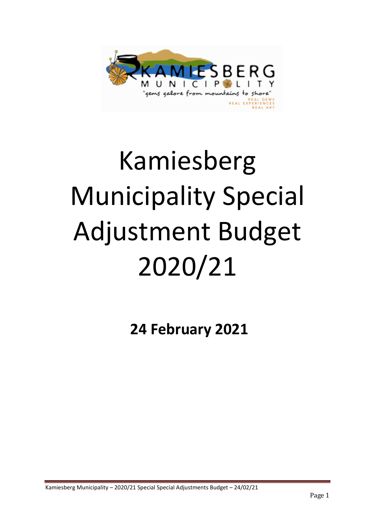

# Kamiesberg Municipality Special Adjustment Budget 2020/21

**24 February 2021**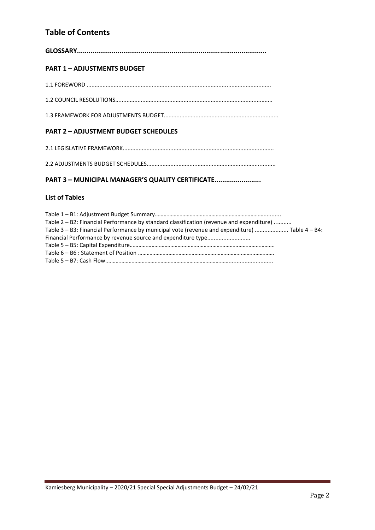## **Table of Contents**

| <b>PART 1 - ADJUSTMENTS BUDGET</b>                                                                                                                                                         |
|--------------------------------------------------------------------------------------------------------------------------------------------------------------------------------------------|
|                                                                                                                                                                                            |
|                                                                                                                                                                                            |
|                                                                                                                                                                                            |
| <b>PART 2 - ADJUSTMENT BUDGET SCHEDULES</b>                                                                                                                                                |
|                                                                                                                                                                                            |
|                                                                                                                                                                                            |
| PART 3 - MUNICIPAL MANAGER'S QUALITY CERTIFICATE                                                                                                                                           |
| <b>List of Tables</b>                                                                                                                                                                      |
| Table 2 - B2: Financial Performance by standard classification (revenue and expenditure)<br>Table 3 - B3: Financial Performance by municipal vote (revenue and expenditure)  Table 4 - B4: |

Financial Performance by revenue source and expenditure type..........................

Table 5 – B5: Capital Expenditure………………………………………………………………………………………. Table 6 – B6 : Statement of Position …………………………………………………………………………………. Table 5 – B7: Cash Flow.…………………………………………………………………………............................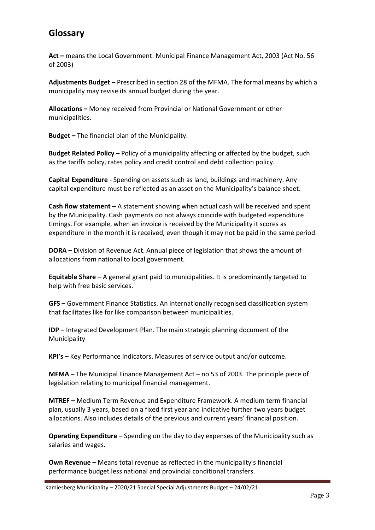## **Glossary**

**Act –** means the Local Government: Municipal Finance Management Act, 2003 (Act No. 56 of 2003)

**Adjustments Budget –** Prescribed in section 28 of the MFMA. The formal means by which a municipality may revise its annual budget during the year.

**Allocations –** Money received from Provincial or National Government or other municipalities.

**Budget –** The financial plan of the Municipality.

**Budget Related Policy –** Policy of a municipality affecting or affected by the budget, such as the tariffs policy, rates policy and credit control and debt collection policy.

**Capital Expenditure** - Spending on assets such as land, buildings and machinery. Any capital expenditure must be reflected as an asset on the Municipality's balance sheet.

**Cash flow statement –** A statement showing when actual cash will be received and spent by the Municipality. Cash payments do not always coincide with budgeted expenditure timings. For example, when an invoice is received by the Municipality it scores as expenditure in the month it is received, even though it may not be paid in the same period.

**DORA –** Division of Revenue Act. Annual piece of legislation that shows the amount of allocations from national to local government.

**Equitable Share –** A general grant paid to municipalities. It is predominantly targeted to help with free basic services.

**GFS –** Government Finance Statistics. An internationally recognised classification system that facilitates like for like comparison between municipalities.

**IDP –** Integrated Development Plan. The main strategic planning document of the Municipality

**KPI's –** Key Performance Indicators. Measures of service output and/or outcome.

**MFMA –** The Municipal Finance Management Act – no 53 of 2003. The principle piece of legislation relating to municipal financial management.

**MTREF –** Medium Term Revenue and Expenditure Framework. A medium term financial plan, usually 3 years, based on a fixed first year and indicative further two years budget allocations. Also includes details of the previous and current years' financial position.

**Operating Expenditure –** Spending on the day to day expenses of the Municipality such as salaries and wages.

**Own Revenue –** Means total revenue as reflected in the municipality's financial performance budget less national and provincial conditional transfers.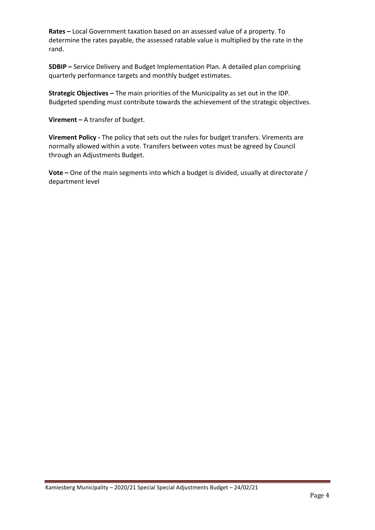**Rates –** Local Government taxation based on an assessed value of a property. To determine the rates payable, the assessed ratable value is multiplied by the rate in the rand.

**SDBIP –** Service Delivery and Budget Implementation Plan. A detailed plan comprising quarterly performance targets and monthly budget estimates.

**Strategic Objectives –** The main priorities of the Municipality as set out in the IDP. Budgeted spending must contribute towards the achievement of the strategic objectives.

**Virement –** A transfer of budget.

**Virement Policy -** The policy that sets out the rules for budget transfers. Virements are normally allowed within a vote. Transfers between votes must be agreed by Council through an Adjustments Budget.

**Vote –** One of the main segments into which a budget is divided, usually at directorate / department level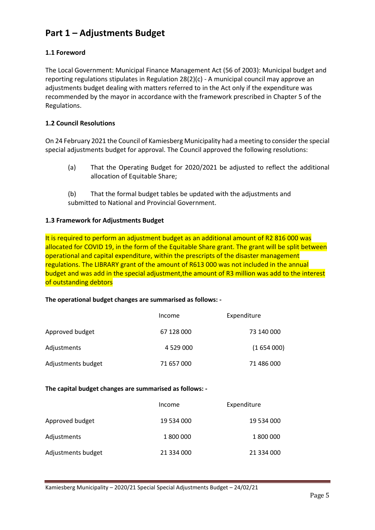# **Part 1 – Adjustments Budget**

#### **1.1 Foreword**

The Local Government: Municipal Finance Management Act (56 of 2003): Municipal budget and reporting regulations stipulates in Regulation 28(2)(c) - A municipal council may approve an adjustments budget dealing with matters referred to in the Act only if the expenditure was recommended by the mayor in accordance with the framework prescribed in Chapter 5 of the Regulations.

#### **1.2 Council Resolutions**

On 24 February 2021 the Council of Kamiesberg Municipality had a meeting to consider the special special adjustments budget for approval. The Council approved the following resolutions:

- (a) That the Operating Budget for 2020/2021 be adjusted to reflect the additional allocation of Equitable Share;
- (b) That the formal budget tables be updated with the adjustments and submitted to National and Provincial Government.

#### **1.3 Framework for Adjustments Budget**

It is required to perform an adjustment budget as an additional amount of R2 816 000 was allocated for COVID 19, in the form of the Equitable Share grant. The grant will be split between operational and capital expenditure, within the prescripts of the disaster management regulations. The LIBRARY grant of the amount of R613 000 was not included in the annual budget and was add in the special adjustment,the amount of R3 million was add to the interest of outstanding debtors

#### **The operational budget changes are summarised as follows: -**

|                    | Income          | Expenditure |
|--------------------|-----------------|-------------|
| Approved budget    | 67 128 000      | 73 140 000  |
| Adjustments        | 4 5 2 9 0 0 0 0 | (1654000)   |
| Adjustments budget | 71 657 000      | 71 486 000  |

#### **The capital budget changes are summarised as follows: -**

|                    | Income     | Expenditure |
|--------------------|------------|-------------|
| Approved budget    | 19 534 000 | 19 534 000  |
| Adjustments        | 1800000    | 1 800 000   |
| Adjustments budget | 21 334 000 | 21 334 000  |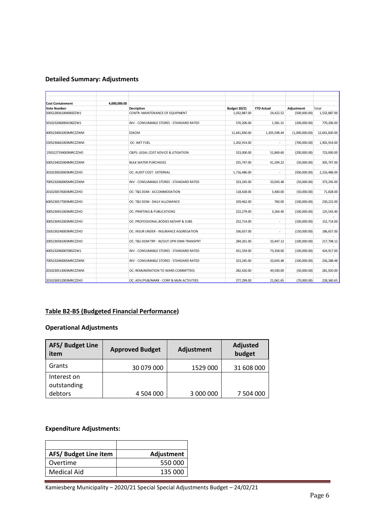#### **Detailed Summary: Adjustments**

| <b>Cost Containment</b> | 4,000,000.00 |                                          |                     |                          |                |               |
|-------------------------|--------------|------------------------------------------|---------------------|--------------------------|----------------|---------------|
| <b>Vote Number</b>      |              | <b>Decription</b>                        | <b>Budget 20/21</b> | <b>YTD Actual</b>        | Adjustment     | Total         |
| 5005228361004069ZZW1    |              | <b>CONTR: MAINTENANCE OF EQUIPMENT</b>   | 1,032,887.00        | 24,422.52                | (500,000.00)   | 1,532,887.00  |
|                         |              |                                          |                     |                          |                |               |
| 5010232060004196ZZW1    |              | INV - CONSUMABLE STORES - STANDARD RATED | 570,206.00          | 1,581.31                 | (200,000.00)   | 770,206.00    |
| 4005234001003MRCZZWM    | <b>ESKOM</b> |                                          | 11,641,830.00       | 1,205,598.44             | (1,000,000.00) | 12,641,830.00 |
| 2505230661003MRCZZWM    |              | OC: WET FUEL                             | 1,202,914.00        | ٠                        | (700,000.00)   | 1,902,914.00  |
| 2505227334003MRCZZHO    |              | C&PS: LEGAL COST ADVICE & LITIGATION     | 523,000.00          | 51,869.60                | (200,000.00)   | 723,000.00    |
| 5005234025004MRCZZWM    |              | <b>BULK WATER PURCHASES</b>              | 255,747.00          | 41,294.22                | (50,000.00)    | 305,747.00    |
| 3010230020003MRCZZHO    |              | OC: AUDIT COST: EXTERNAL                 | 1,716,486.00        | ÷.                       | (500,000.00)   | 2,216,486.00  |
|                         |              |                                          |                     |                          |                |               |
| 7005232060005MRCZZWM    |              | INV - CONSUMABLE STORES - STANDARD RATED | 323,245.00          | 33,043.48                | (50,000.00)    | 373,245.00    |
| 2010230576003MRCZZHO    |              | OC: T&S DOM - ACCOMMODATION              | 118,428.00          | 3,400.00                 | (50,000.00)    | 71,828.00     |
| 6005230577003MRCZZHO    |              | OC: T&S DOM - DAILY ALLOWANCE            | 329,462.00          | 760.00                   | (100,000.00)   | 230,222.00    |
| 3005230451003MRCZZHO    |              | OC: PRINTING & PUBLICATIONS              | 222,279.00          | 3,264.40                 | (100,000.00)   | 125,543.40    |
| 3005230452003MRCZZHO    |              | OC: PROFESSIONAL BODIES M/SHIP & SUBS    | 252,714.00          | ٠                        | (100,000.00)   | 152,714.00    |
| 2505230240003MRCZZHO    |              | OC: INSUR UNDER - INSURANCE AGGREGATION  | 336,657.00          | $\overline{\phantom{a}}$ | (150,000.00)   | 186,657.00    |
| 2005230581003MRCZZHO    |              | OC: T&S DOM TRP - W/OUT OPR OWN TRANSPRT | 284,261.00          | 33,447.12                | (100,000.00)   | 217,708.12    |
| 4005232060007085ZZW1    |              | INV - CONSUMABLE STORES - STANDARD RATED | 451,559.00          | 73,358.00                | (100,000.00)   | 424,917.00    |
| 7005232060005MRCZZWM    |              | INV - CONSUMABLE STORES - STANDARD RATED | 323,245.00          | 33,043.48                | (100,000.00)   | 256,288.48    |
| 2010230513003MRCZZWM    |              | OC: REMUNERATION TO WARD COMMITTEES      | 282,420.00          | 49,500.00                | (50,000.00)    | 281,920.00    |
| 2010230012003MRCZZHO    |              | OC: ADV/PUB/MARK - CORP & MUN ACTIVITIES | 277,299.00          | 21,061.65                | (70,000.00)    | 228,360.65    |

#### **Table B2-B5 (Budgeted Financial Performance)**

## **Operational Adjustments**

| <b>AFS/ Budget Line</b><br>item | <b>Approved Budget</b> | Adjustment | <b>Adjusted</b><br>budget |  |  |
|---------------------------------|------------------------|------------|---------------------------|--|--|
| Grants                          | 30 079 000             | 1529 000   | 31 608 000                |  |  |
| Interest on                     |                        |            |                           |  |  |
| outstanding                     |                        |            |                           |  |  |
| debtors                         | 4 504 000              | 3 000 000  | 7 504 000                 |  |  |

## **Expenditure Adjustments:**

| AFS/Budget Line item | Adjustment |
|----------------------|------------|
| Overtime             | 550 000    |
| <b>Medical Aid</b>   | 135 000    |

Kamiesberg Municipality – 2020/21 Special Special Adjustments Budget – 24/02/21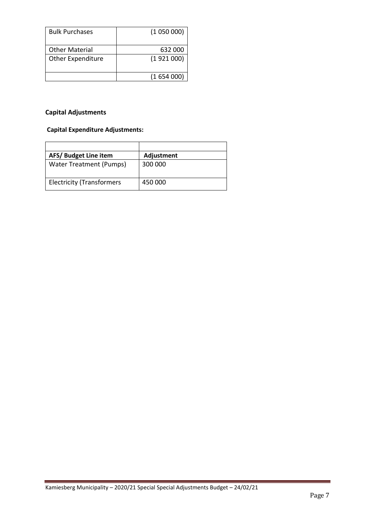| <b>Bulk Purchases</b>    | (1050000) |
|--------------------------|-----------|
| <b>Other Material</b>    | 632 000   |
| <b>Other Expenditure</b> | (1921000) |
|                          | (1654000) |

## **Capital Adjustments**

## **Capital Expenditure Adjustments:**

| AFS/Budget Line item             | Adjustment |
|----------------------------------|------------|
| <b>Water Treatment (Pumps)</b>   | 300 000    |
| <b>Electricity (Transformers</b> | 450 000    |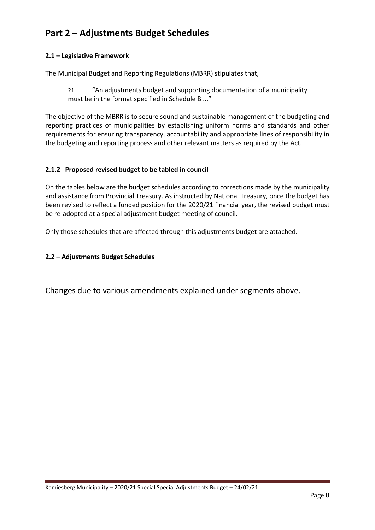# **Part 2 – Adjustments Budget Schedules**

#### **2.1 – Legislative Framework**

The Municipal Budget and Reporting Regulations (MBRR) stipulates that,

21. "An adjustments budget and supporting documentation of a municipality must be in the format specified in Schedule B ..."

The objective of the MBRR is to secure sound and sustainable management of the budgeting and reporting practices of municipalities by establishing uniform norms and standards and other requirements for ensuring transparency, accountability and appropriate lines of responsibility in the budgeting and reporting process and other relevant matters as required by the Act.

#### **2.1.2 Proposed revised budget to be tabled in council**

On the tables below are the budget schedules according to corrections made by the municipality and assistance from Provincial Treasury. As instructed by National Treasury, once the budget has been revised to reflect a funded position for the 2020/21 financial year, the revised budget must be re-adopted at a special adjustment budget meeting of council.

Only those schedules that are affected through this adjustments budget are attached.

#### **2.2 – Adjustments Budget Schedules**

Changes due to various amendments explained under segments above.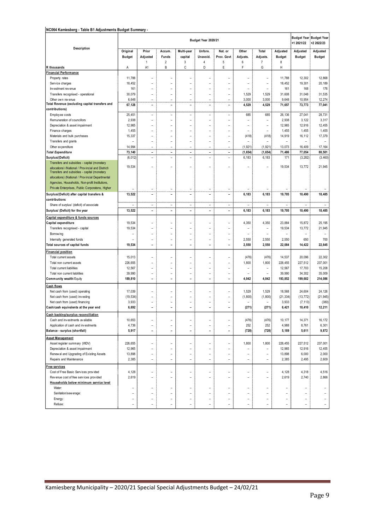#### **NC064 Kamiesberg - Table B1 Adjustments Budget Summary -**

|                                                                                                                                                       |                           | Budget Year 2020/21               |                                            |                                  |                                |                            |                                  |                          |                                |                           |                           |  |
|-------------------------------------------------------------------------------------------------------------------------------------------------------|---------------------------|-----------------------------------|--------------------------------------------|----------------------------------|--------------------------------|----------------------------|----------------------------------|--------------------------|--------------------------------|---------------------------|---------------------------|--|
| Description                                                                                                                                           | Original<br><b>Budget</b> | Prior<br>Adjusted<br>$\mathbf{1}$ | Accum.<br>Funds<br>$\overline{2}$          | Multi-year<br>capital<br>3       | Unfore.<br>Unavoid.<br>4       | Nat. or<br>Prov. Govt<br>5 | Other<br>Adjusts.<br>6           | Total<br>Adjusts.<br>7   | Adjusted<br><b>Budget</b><br>8 | Adjusted<br><b>Budget</b> | Adjusted<br><b>Budget</b> |  |
| R thousands                                                                                                                                           | Α                         | A1                                | B                                          | C                                | D                              | E                          | F                                | G                        | н                              |                           |                           |  |
| <b>Financial Performance</b>                                                                                                                          |                           |                                   |                                            |                                  |                                |                            |                                  |                          |                                |                           |                           |  |
| Property rates                                                                                                                                        | 11,788                    |                                   |                                            |                                  |                                |                            |                                  | -                        | 11,788                         | 12,302                    | 12,868                    |  |
| Service charges                                                                                                                                       | 18,452                    | L,                                | L,                                         | L                                | ۰                              |                            | $\overline{a}$                   | -                        | 18,452                         | 19,301                    | 20,189                    |  |
| Investment revenue                                                                                                                                    | 161                       | ۰                                 | ۰                                          | $\overline{a}$                   |                                | ۰                          | $\overline{\phantom{0}}$         | $\overline{a}$           | 161                            | 168                       | 176                       |  |
| Transfers recognised - operational                                                                                                                    | 30,079                    | L,                                |                                            |                                  |                                |                            | 1,529                            | 1,529                    | 31,608                         | 31,048                    | 31,535                    |  |
| Other own revenue                                                                                                                                     | 6,648                     | $\overline{a}$                    | ÷                                          | $\overline{\phantom{a}}$         | $\overline{\phantom{a}}$       | $\overline{a}$             | 3,000                            | 3,000                    | 9,648                          | 10,954                    | 12,274                    |  |
| Total Revenue (excluding capital transfers and                                                                                                        | 67,128                    | $\overline{a}$                    | ۰                                          | $\blacksquare$                   | $\overline{\phantom{0}}$       | $\overline{\phantom{0}}$   | 4,529                            | 4,529                    | 71,657                         | 73,773                    | 77,041                    |  |
| contributions)                                                                                                                                        |                           |                                   |                                            |                                  |                                |                            |                                  |                          |                                |                           |                           |  |
| Employ ee costs                                                                                                                                       | 25,451                    | -                                 | ÷                                          | $\overline{a}$                   | -                              | -                          | 685                              | 685                      | 26,136                         | 27,041                    | 28,731                    |  |
| Remuneration of councillors                                                                                                                           | 2,938                     | $\overline{a}$                    | $\overline{\phantom{a}}$                   | $\overline{\phantom{a}}$         | $\overline{\phantom{0}}$       | $\overline{a}$             | $\overline{\phantom{0}}$         | $\overline{a}$           | 2,938                          | 3,122                     | 3,317                     |  |
| Depreciation & asset impairment                                                                                                                       | 12,965                    | L,                                | L,                                         | L.                               | L.                             | $\overline{a}$             | $\overline{\phantom{0}}$         | $\overline{a}$           | 12,965                         | 12,916                    | 12,455                    |  |
| Finance charges                                                                                                                                       | 1,455                     | L,                                | L,                                         | L                                | ۷                              | $\overline{a}$             | $\overline{\phantom{0}}$         | $\overline{a}$           | 1,455                          | 1,455                     | 1,455                     |  |
| Materials and bulk purchases                                                                                                                          | 15,337                    | ۰                                 | L.                                         | $\overline{a}$                   | ۰                              | $\overline{a}$             | (418)                            | (418)                    | 14,919                         | 16,112                    | 17,379                    |  |
| Transfers and grants                                                                                                                                  |                           | L.                                | L,                                         | L.<br>$\overline{\phantom{a}}$   | L.<br>$\overline{\phantom{a}}$ | $\overline{a}$             | $\overline{a}$                   | $\overline{a}$           | $\overline{a}$                 | $\overline{\phantom{a}}$  | ٠                         |  |
| Other ex penditure                                                                                                                                    | 14,994                    | $\overline{a}$                    | ۰                                          |                                  |                                | $\overline{\phantom{a}}$   | (1, 921)                         | (1, 921)                 | 13,073                         | 16,409                    | 17,164                    |  |
| <b>Total Expenditure</b>                                                                                                                              | 73,140                    | $\overline{\phantom{0}}$          | $\qquad \qquad \blacksquare$               | $\overline{\phantom{a}}$         | $\overline{\phantom{a}}$       | $\overline{\phantom{a}}$   | (1,654)                          | (1,654)                  | 71,486                         | 77,054                    | 80,501                    |  |
| Surplus/(Deficit)                                                                                                                                     | (6, 012)                  | $\overline{a}$                    | $\overline{a}$                             | $\overline{\phantom{a}}$         | $\overline{a}$                 | $\overline{a}$             | 6,183                            | 6,183                    | 171                            | (3, 282)                  | (3, 460)                  |  |
| Transfers and subsidies - capital (monetary<br>allocations) (National / Provincial and District)<br>Transfers and subsidies - capital (monetary       | 19,534                    | L.                                | L,                                         | L.                               | L.                             | $\overline{a}$             |                                  |                          | 19,534                         | 13,772                    | 21,945                    |  |
| allocations) (National / Provincial Departmental<br>Agencies, Households, Non-profit Institutions,<br>Private Enterprises, Public Corporatons, Higher |                           | ۰                                 | $\overline{\phantom{0}}$                   | $\overline{a}$                   | $\overline{\phantom{0}}$       | $\overline{a}$             |                                  |                          |                                |                           |                           |  |
| Surplus/(Deficit) after capital transfers &                                                                                                           | 13,522                    | L,                                | $\overline{a}$                             | L,                               | L,                             | ÷,                         | 6,183                            | 6,183                    | 19,705                         | 10,490                    | 18,485                    |  |
| contributions                                                                                                                                         |                           |                                   |                                            |                                  |                                |                            |                                  |                          |                                |                           |                           |  |
| Share of surplus/ (deficit) of associate                                                                                                              | $\overline{a}$            | $\qquad \qquad -$                 | $\overline{\phantom{a}}$                   | $\overline{\phantom{a}}$         | $\overline{\phantom{a}}$       | $\overline{a}$             | $\overline{\phantom{a}}$         | $\overline{a}$           | $\overline{a}$                 | $\overline{\phantom{a}}$  | $\overline{a}$            |  |
| Surplus/ (Deficit) for the year                                                                                                                       | 13,522                    | $\overline{a}$                    | $\overline{a}$                             | $\overline{\phantom{a}}$         | $\qquad \qquad \blacksquare$   | $\overline{\phantom{0}}$   | 6,183                            | 6,183                    | 19,705                         | 10,490                    | 18,485                    |  |
|                                                                                                                                                       |                           |                                   |                                            |                                  |                                |                            |                                  |                          |                                |                           |                           |  |
| Capital expenditure & funds sources                                                                                                                   |                           |                                   |                                            |                                  |                                |                            |                                  |                          |                                |                           |                           |  |
| Capital expenditure                                                                                                                                   | 19,534                    | ۰                                 | L.                                         | $\overline{a}$                   | $\overline{\phantom{0}}$       | $\overline{a}$             | 4,350                            | 4,350                    | 23,884                         | 15,872                    | 25,195                    |  |
| Transfers recognised - capital                                                                                                                        | 19,534                    | ÷                                 |                                            |                                  |                                |                            | -                                | $\overline{a}$           | 19,534                         | 13,772                    | 21,945                    |  |
| Borrow ing                                                                                                                                            |                           |                                   | L.                                         |                                  |                                | $\overline{a}$             | $\overline{a}$                   | $\overline{a}$           | $\overline{a}$                 | $\overline{a}$            | ۰                         |  |
| Internally generated funds                                                                                                                            |                           | L,                                |                                            |                                  |                                | $\overline{a}$             | 2,550                            | 2,550                    | 2,550                          | 650                       | 700                       |  |
| Total sources of capital funds                                                                                                                        | 19,534                    | ۰                                 | ۰                                          | $\overline{\phantom{0}}$         | ۰                              | $\overline{\phantom{0}}$   | 2,550                            | 2,550                    | 22,084                         | 14,422                    | 22,645                    |  |
| Financial position                                                                                                                                    |                           |                                   |                                            |                                  |                                |                            |                                  |                          |                                |                           |                           |  |
| Total current assets                                                                                                                                  | 15,013                    | $\overline{a}$                    |                                            | -                                |                                | -                          | (476)                            | (476)                    | 14,537                         | 20,096                    | 22,302                    |  |
| Total non current assets                                                                                                                              | 226,655                   | L.                                | L.                                         | ۳                                | L.                             | ۳                          | 1,800                            | 1,800                    | 228,455                        | 227,512                   | 237,001                   |  |
| Total current liabilities                                                                                                                             | 12,567                    | $\overline{a}$                    |                                            |                                  |                                |                            | $\overline{a}$                   | $\overline{a}$           | 12,567                         | 17,703                    | 15,208                    |  |
| Total non current liabilities                                                                                                                         | 39,990                    | -                                 | ÷                                          | $\overline{a}$                   |                                | $\overline{a}$             | $\overline{a}$                   | $\overline{a}$           | 39,990                         | 34,302                    | 35,009                    |  |
| Community wealth/Equity                                                                                                                               | 189,810                   | $\overline{a}$                    | $\overline{\phantom{0}}$                   | $\overline{a}$                   | L,                             | $\overline{a}$             | 4,042                            | 4,042                    | 193,852                        | 199,602                   | 214,086                   |  |
| <b>Cash flows</b>                                                                                                                                     |                           |                                   |                                            |                                  |                                |                            |                                  |                          |                                |                           |                           |  |
| Net cash from (used) operating                                                                                                                        | 17,039                    | $\overline{a}$                    |                                            | -                                |                                | $\overline{a}$             | 1,529                            | 1,529                    | 18,568                         | 24,604                    | 24,126                    |  |
| Net cash from (used) investing                                                                                                                        | (19, 534)                 | $\overline{a}$                    |                                            | $\overline{a}$                   |                                |                            | (1, 800)                         | (1,800)                  | (21, 334)                      | (13, 772)                 | (21, 945)                 |  |
| Net cash from (used) financing                                                                                                                        | 3,933                     | L,                                | L.                                         | $\overline{a}$                   |                                |                            | $\overline{\phantom{0}}$         | $\overline{a}$           | 3,933                          | (7, 113)                  | (380)                     |  |
| Cash/cash equivalents at the year end                                                                                                                 | 6,692                     | Ē,                                |                                            |                                  |                                |                            | (271)                            | (271)                    | 6,421                          | 10,410                    | 12,211                    |  |
| Cash backing/surplus reconciliation                                                                                                                   |                           |                                   |                                            |                                  |                                |                            |                                  |                          |                                |                           |                           |  |
| Cash and investments available                                                                                                                        | 10,653                    | $\overline{a}$                    | $\overline{a}$                             | $\overline{a}$                   |                                | $\overline{\phantom{0}}$   | (476)                            | (476)                    | 10,177                         | 14,371                    | 16,172                    |  |
| Application of cash and investments                                                                                                                   | 4,736                     | $\overline{a}$                    | $\qquad \qquad -$                          | $\qquad \qquad -$                | $\qquad \qquad -$              | $\overline{a}$             | 252                              | 252                      | 4,988                          | 8,761                     | 6,301                     |  |
| Balance - surplus (shortfall)                                                                                                                         | 5,917                     | $\overline{\phantom{0}}$          | $\overline{a}$                             | $\overline{a}$                   | ۰                              | $\overline{a}$             | (728)                            | (728)                    | 5,189                          | 5,611                     | 9,872                     |  |
|                                                                                                                                                       |                           |                                   |                                            |                                  |                                |                            |                                  |                          |                                |                           |                           |  |
| <b>Asset Management</b>                                                                                                                               |                           |                                   |                                            |                                  |                                |                            |                                  |                          |                                |                           |                           |  |
| Asset register summary (WDV)                                                                                                                          | 226,655                   | $\qquad \qquad -$                 | $\overline{a}$                             | $\overline{a}$                   |                                | $\overline{a}$             | 1,800                            | 1,800                    | 228,455                        | 227,512                   | 237,001                   |  |
| Depreciation & asset impairment                                                                                                                       | 12,965                    | $\overline{a}$                    | ÷                                          | -                                | L                              | -                          | -                                | $\overline{\phantom{0}}$ | 12,965                         | 12,916                    | 12,455                    |  |
| Renewal and Upgrading of Existing Assets                                                                                                              | 13,898                    | $\overline{a}$                    | $\overline{\phantom{a}}$<br>$\overline{a}$ | $\overline{a}$<br>$\overline{a}$ | $\overline{\phantom{0}}$       | $\overline{a}$             | $\overline{a}$<br>$\overline{a}$ | $\overline{a}$           | 13,898                         | 6,000                     | 2,000                     |  |
| Repairs and Maintenance                                                                                                                               | 2,385                     | $\qquad \qquad -$                 |                                            |                                  |                                | $\overline{\phantom{0}}$   |                                  | $\overline{\phantom{0}}$ | 2,385                          | 2,495                     | 2,609                     |  |
| <u>Free services</u>                                                                                                                                  |                           |                                   |                                            |                                  |                                |                            |                                  |                          |                                |                           |                           |  |
| Cost of Free Basic Services provided                                                                                                                  | 4,128                     | $\overline{a}$                    | $\overline{a}$                             | $\overline{a}$                   | $\overline{\phantom{0}}$       | $\overline{a}$             | $\overline{a}$                   | $\overline{a}$           | 4,128                          | 4,318                     | 4,516                     |  |
| Revenue cost of free services provided                                                                                                                | 2,619                     | L,                                |                                            |                                  |                                |                            |                                  | $\overline{a}$           | 2,619                          | 2,740                     | 2,866                     |  |
| Households below minimum service level                                                                                                                |                           |                                   |                                            |                                  |                                |                            |                                  |                          |                                |                           |                           |  |
| Water:                                                                                                                                                | ۰                         | ۰                                 | $\overline{\phantom{a}}$                   | $\overline{a}$                   | $\overline{\phantom{0}}$       | $\overline{a}$             | $\overline{a}$                   | $\overline{a}$           | $\overline{a}$                 | $\overline{a}$            |                           |  |
| Sanitation/sew erage:                                                                                                                                 | -                         | $\overline{a}$                    | -                                          | $\overline{a}$                   |                                | -                          | $\overline{\phantom{0}}$         | $\overline{a}$           |                                |                           |                           |  |
| Energy:                                                                                                                                               |                           | $\overline{a}$                    | -                                          | $\overline{\phantom{0}}$         |                                | $\overline{a}$             |                                  | -                        |                                |                           | $\qquad \qquad -$         |  |
| Refuse:                                                                                                                                               |                           | ۰                                 |                                            | $\overline{a}$                   |                                |                            |                                  | $\overline{\phantom{0}}$ | $\overline{a}$                 | $\overline{\phantom{a}}$  | $\overline{\phantom{0}}$  |  |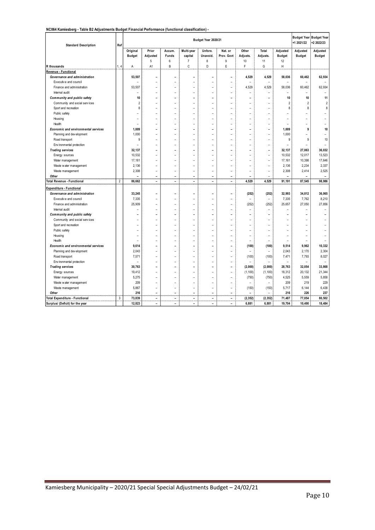#### **NC064 Kamiesberg - Table B2 Adjustments Budget Financial Performance (functional classification) -**

| <b>Standard Description</b>                | Ref            |                          |                          |                          |                          | Budget Year 2020/21      |                          |                          |                          |                          | <b>Budget Year Budget Year</b><br>+1 2021/22 | +2 2022/23               |
|--------------------------------------------|----------------|--------------------------|--------------------------|--------------------------|--------------------------|--------------------------|--------------------------|--------------------------|--------------------------|--------------------------|----------------------------------------------|--------------------------|
|                                            |                | Original                 | Prior                    | Accum.                   | Multi-year               | Unfore.                  | Nat. or                  | Other                    | Total                    | Adjusted                 | Adjusted                                     | Adjusted                 |
|                                            |                | <b>Budget</b>            | Adjusted                 | Funds                    | capital                  | Unavoid.                 | Prov. Govt               | Adjusts.                 | Adjusts.                 | <b>Budget</b>            | <b>Budget</b>                                | <b>Budget</b>            |
|                                            |                |                          | 5                        | $6\phantom{.}6$          | $\overline{7}$           | 8                        | 9                        | 10                       | 11                       | 12                       |                                              |                          |
| R thousands                                | 1, 4           | Α                        | A1                       | B                        | C                        | D                        | E                        | F                        | G                        | н                        |                                              |                          |
| Revenue - Functional                       |                |                          |                          |                          |                          |                          |                          |                          |                          |                          |                                              |                          |
| Governance and administration              |                | 53,507                   | L.                       | ۰                        | ۰                        | ۳                        | ۳                        | 4,529                    | 4,529                    | 58,036                   | 60,462                                       | 62,934                   |
| Executive and council                      |                | $\overline{a}$           | $\overline{a}$           | $\overline{a}$           | $\overline{\phantom{a}}$ |                          | $\overline{\phantom{a}}$ |                          | $\overline{\phantom{a}}$ |                          |                                              |                          |
| Finance and administration                 |                | 53,507                   |                          | $\overline{a}$           |                          |                          |                          | 4,529                    | 4,529                    | 58,036                   | 60,462                                       | 62,934                   |
| Internal audit                             |                | $\overline{a}$           | ۰                        | $\overline{\phantom{a}}$ | ۰                        | $\overline{a}$           | $\overline{a}$           | $\overline{a}$           | ۰                        | $\overline{\phantom{0}}$ | $\overline{\phantom{a}}$                     | $\overline{\phantom{a}}$ |
| Community and public safety                |                | 10                       | ۰                        | $\overline{\phantom{a}}$ | ۰                        | -                        | ۰                        | $\overline{\phantom{0}}$ |                          | 10                       | 10                                           | 11                       |
| Community and social services              |                | $\overline{2}$           |                          |                          |                          |                          |                          |                          |                          | $\overline{2}$           | $\overline{2}$                               | $\overline{2}$           |
| Sport and recreation                       |                | 8                        | $\overline{a}$           | $\overline{a}$           | ۰                        | $\overline{a}$           | $\overline{a}$           | $\overline{a}$           | ۰                        | 8                        | 8                                            | 8                        |
| Public safety                              |                |                          | $\overline{a}$           | $\overline{a}$           |                          |                          |                          |                          |                          |                          |                                              |                          |
| Housing                                    |                | $\overline{a}$           |                          |                          |                          |                          |                          |                          |                          |                          |                                              |                          |
| Health                                     |                | $\overline{\phantom{0}}$ | ۰                        | $\overline{\phantom{a}}$ | ۰                        | $\overline{a}$           | $\overline{\phantom{0}}$ | $\overline{a}$           | $\overline{\phantom{0}}$ | $\overline{\phantom{0}}$ | $\overline{\phantom{0}}$                     | $\overline{\phantom{0}}$ |
| <b>Economic and environmental services</b> |                | 1,009                    | ۰                        | $\overline{\phantom{0}}$ | ۰                        | -                        | $\overline{\phantom{0}}$ | $\overline{\phantom{0}}$ | ۰                        | 1,009                    | 9                                            | 10                       |
| Planning and development                   |                | 1,000                    | $\overline{a}$           | $\overline{a}$           | $\overline{a}$           | $\overline{a}$           | $\overline{a}$           | $\overline{a}$           | $\overline{a}$           | 1.000                    |                                              |                          |
| Road transport                             |                | 9                        | $\overline{a}$           | $\overline{a}$           | ۰                        | $\overline{a}$           | $\overline{a}$           | $\overline{a}$           | ۰                        | 9                        | 9                                            | 10                       |
| Env ironmental protection                  |                | $\overline{a}$           |                          |                          |                          |                          |                          |                          |                          |                          |                                              |                          |
| <b>Trading services</b>                    |                | 32,137                   | L,                       | $\overline{a}$           | L                        |                          |                          |                          | ۰                        | 32,137                   | 27,063                                       | 36,032                   |
| Energy sources                             |                | 10,532                   | $\overline{\phantom{a}}$ | $\overline{a}$           | $\overline{\phantom{a}}$ | $\overline{a}$           | $\overline{a}$           | $\overline{a}$           | ÷                        | 10,532                   | 12,017                                       | 13,523                   |
| Water management                           |                | 17,161                   | $\overline{a}$           | $\overline{a}$           | L,                       | $\overline{a}$           | $\overline{a}$           | $\overline{a}$           | ÷                        | 17,161                   | 10,398                                       | 17,646                   |
| Waste water management                     |                | 2,136                    | $\overline{a}$           | $\overline{a}$           | $\overline{a}$           | $\overline{a}$           | $\overline{a}$           | $\overline{a}$           | $\overline{a}$           | 2,136                    | 2,234                                        | 2,337                    |
| Waste management                           |                | 2,308                    | $\overline{a}$           | $\overline{a}$           | L,                       | $\overline{a}$           | $\overline{a}$           | $\overline{a}$           | ÷                        | 2,308                    | 2,414                                        | 2,525                    |
| Other                                      |                |                          | $\overline{a}$           | L.                       | $\overline{a}$           | $\overline{a}$           | $\overline{a}$           |                          |                          |                          |                                              | $\overline{a}$           |
| Total Revenue - Functional                 | $\overline{2}$ | 86,662                   | $\overline{\phantom{a}}$ | $\overline{\phantom{a}}$ | $\overline{a}$           | $\overline{\phantom{0}}$ | $\overline{\phantom{0}}$ | 4,529                    | 4,529                    | 91,191                   | 87,545                                       | 98,986                   |
| <b>Expenditure - Functional</b>            |                |                          |                          |                          |                          |                          |                          |                          |                          |                          |                                              |                          |
| Governance and administration              |                | 33,245                   | L,                       | $\overline{a}$           | L,                       | -                        | ۳                        | (252)                    | (252)                    | 32,993                   | 34,812                                       | 36,065                   |
| Executive and council                      |                | 7,335                    | $\overline{a}$           | $\overline{a}$           | $\overline{a}$           | $\overline{a}$           | $\overline{a}$           |                          | $\overline{a}$           | 7,335                    | 7,762                                        | 8,210                    |
| Finance and administration                 |                | 25,909                   | $\overline{a}$           | $\overline{a}$           | $\overline{a}$           | $\overline{a}$           | $\overline{a}$           | (252)                    | (252)                    | 25,657                   | 27,050                                       | 27,856                   |
| Internal audit                             |                | $\overline{a}$           | $\overline{\phantom{a}}$ | $\overline{a}$           | $\overline{a}$           | $\overline{a}$           | $\overline{a}$           | $\overline{a}$           | $\overline{a}$           |                          |                                              |                          |
| Community and public safety                |                |                          |                          |                          |                          |                          |                          | -                        |                          |                          |                                              |                          |
| Community and social services              |                |                          | $\overline{\phantom{a}}$ | $\overline{\phantom{a}}$ | ۰                        | $\overline{a}$           | ۳                        | $\overline{a}$           |                          |                          |                                              |                          |
| Sport and recreation                       |                |                          | $\overline{a}$           | $\overline{a}$           |                          | $\overline{a}$           |                          | $\overline{a}$           |                          |                          | L,                                           |                          |
| Public safety                              |                |                          | $\overline{a}$           | $\overline{a}$           |                          |                          | $\overline{a}$           | $\overline{a}$           |                          |                          |                                              |                          |
| Housing                                    |                | $\overline{a}$           | $\overline{\phantom{a}}$ | $\overline{a}$           | ۰                        | $\overline{a}$           | $\overline{a}$           | $\overline{a}$           | $\overline{\phantom{a}}$ | $\overline{\phantom{0}}$ | ۰                                            |                          |
| Health                                     |                | $\overline{a}$           | $\overline{\phantom{a}}$ | $\overline{\phantom{a}}$ | ۰                        | $\overline{a}$           | $\overline{\phantom{a}}$ | $\overline{a}$           | ۰                        |                          | $\overline{\phantom{a}}$                     |                          |
| Economic and environmental services        |                | 9.614                    | L,                       | ٠                        | ۰                        | -                        |                          | (100)                    | (100)                    | 9,514                    | 9.962                                        | 10,332                   |
| Planning and development                   |                | 2,043                    | $\overline{a}$           | $\overline{\phantom{a}}$ |                          |                          | $\overline{\phantom{a}}$ |                          |                          | 2,043                    | 2,170                                        | 2,304                    |
| Road transport                             |                | 7,571                    | $\overline{a}$           | $\overline{a}$           | $\overline{\phantom{a}}$ | $\overline{a}$           | $\overline{\phantom{a}}$ | (100)                    | (100)                    | 7.471                    | 7,793                                        | 8.027                    |
| Environmental protection                   |                |                          |                          |                          |                          |                          | $\overline{a}$           |                          |                          |                          | $\overline{a}$                               | $\overline{a}$           |
| <b>Trading services</b>                    |                | 30,763                   | ۰                        | ۰                        | ۰                        | -                        | $\overline{a}$           | (2,000)                  | (2,000)                  | 28,763                   | 32,054                                       | 33,868                   |
| Energy sources                             |                | 19,412                   | $\overline{a}$           | $\overline{a}$           | L,                       | $\overline{a}$           | $\overline{a}$           | (1, 100)                 | (1, 100)                 | 18,312                   | 20,132                                       | 21,344                   |
| Water management                           |                | 5,275                    |                          |                          |                          |                          | $\overline{a}$           | (750)                    | (750)                    | 4,525                    | 5,559                                        | 5,858                    |
| Waste water management                     |                | 209                      | $\overline{a}$           | $\overline{\phantom{a}}$ |                          | $\overline{a}$           | $\overline{\phantom{a}}$ |                          | ۰                        | 209                      | 219                                          | 229                      |
| Waste management                           |                | 5,867                    | $\overline{a}$           | $\overline{a}$           | $\overline{a}$           | $\overline{a}$           | $\overline{a}$           | (150)                    | (150)                    | 5,717                    | 6,144                                        | 6,438                    |
| Other                                      |                | 216                      | $\overline{a}$           | $\overline{a}$           | L,                       |                          | $\overline{a}$           |                          |                          | 216                      | 226                                          | 237                      |
| <b>Total Expenditure - Functional</b>      | 3              | 73,839                   | $\overline{\phantom{a}}$ | $\overline{\phantom{a}}$ | $\overline{a}$           | $\overline{a}$           | $\overline{a}$           | (2, 352)                 | (2, 352)                 | 71,487                   | 77,054                                       | 80,502                   |
| Surplus/ (Deficit) for the year            |                | 12,823                   | $\overline{a}$           | $\overline{a}$           | $\overline{a}$           | $\overline{a}$           | $\overline{a}$           | 6,881                    | 6,881                    | 19,704                   | 10,490                                       | 18,484                   |
|                                            |                |                          |                          |                          |                          |                          |                          |                          |                          |                          |                                              |                          |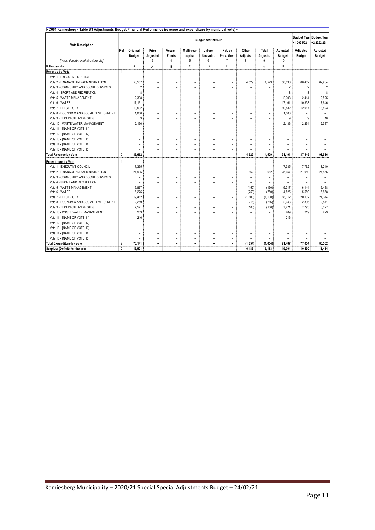| NC064 Kamiesberg - Table B3 Adjustments Budget Financial Performance (revenue and expenditure by municipal vote) - |                |                |                          |                          |                          |                          |                          |                          |                          |                          |                                              |                         |
|--------------------------------------------------------------------------------------------------------------------|----------------|----------------|--------------------------|--------------------------|--------------------------|--------------------------|--------------------------|--------------------------|--------------------------|--------------------------|----------------------------------------------|-------------------------|
| <b>Vote Description</b>                                                                                            |                |                | Budget Year 2020/21      |                          |                          |                          |                          |                          |                          | +1 2021/22               | <b>Budget Year Budget Year</b><br>+2 2022/23 |                         |
|                                                                                                                    | Ref            | Original       | Prior                    | Accum.                   | Multi-year               | Unfore.                  | Nat. or                  | Other                    | Total                    | Adjusted                 | Adjusted                                     | Adjusted                |
|                                                                                                                    |                | <b>Budget</b>  | Adjusted                 | Funds                    | capital                  | Unavoid.                 | Prov. Govt               | Adjusts.                 | Adjusts.                 | <b>Budget</b>            | <b>Budget</b>                                | <b>Budget</b>           |
| [Insert departmental structure etc]                                                                                |                |                | 3                        | $\overline{4}$           | 5                        | 6                        | 7                        | 8                        | 9                        | 10                       |                                              |                         |
| <b>R</b> thousands                                                                                                 |                | A              | A1                       | B                        | C                        | D                        | E                        | F                        | G                        | Н                        |                                              |                         |
| <b>Revenue by Vote</b>                                                                                             | 1              |                |                          |                          |                          |                          |                          |                          |                          |                          |                                              |                         |
| Vote 1 - EXECUTIVE COUNCIL                                                                                         |                |                |                          | $\overline{a}$           | $\overline{a}$           | $\overline{a}$           | $\overline{a}$           |                          | -                        |                          |                                              |                         |
| Vote 2 - FINANACE AND ADMINISTRATION                                                                               |                | 53,507         | $\overline{\phantom{0}}$ | $\overline{\phantom{0}}$ | $\overline{\phantom{0}}$ | $\overline{a}$           | $\overline{a}$           | 4,529                    | 4,529                    | 58,036                   | 60,462                                       | 62,934                  |
| Vote 3 - COMMUNITY AND SOCIAL SERVICES                                                                             |                | $\overline{2}$ |                          |                          | L                        |                          |                          | $\overline{a}$           | $\overline{a}$           | $\overline{\phantom{a}}$ | $\overline{2}$                               | $\overline{\mathbf{c}}$ |
| Vote 4 - SPORT AND RECREATION                                                                                      |                | 8              |                          |                          | $\overline{a}$           | $\overline{a}$           | $\overline{a}$           | $\overline{\phantom{a}}$ |                          | 8                        | 8                                            | 8                       |
| Vote 5 - WASTE MANAGEMENT                                                                                          |                | 2,308          | $\overline{a}$           | $\overline{\phantom{a}}$ | $\overline{a}$           | $\overline{a}$           | $\overline{a}$           | $\overline{\phantom{a}}$ | $\overline{a}$           | 2,308                    | 2,414                                        | 2,525                   |
| Vote 6 - WATER                                                                                                     |                | 17,161         |                          | $\overline{\phantom{0}}$ | $\overline{a}$           |                          | $\overline{a}$           | $\overline{a}$           | $\overline{\phantom{0}}$ | 17,161                   | 10,398                                       | 17,646                  |
| Vote 7 - ELECTRICITY                                                                                               |                | 10,532         |                          |                          |                          |                          |                          | $\overline{a}$           | $\overline{a}$           | 10,532                   | 12,017                                       | 13,523                  |
| Vote 8 - ECONOMIC AND SOCIAL DEVELOPMENT                                                                           |                | 1,000          | $\overline{a}$           | $\overline{a}$           | $\overline{a}$           | $\overline{a}$           | $\overline{a}$           | $\overline{\phantom{a}}$ | $\overline{a}$           | 1,000                    | $\overline{\phantom{0}}$                     |                         |
| Vote 9 - TECHINICAL AND ROADS                                                                                      |                | 9              | $\overline{\phantom{0}}$ | $\overline{\phantom{0}}$ | $\overline{\phantom{0}}$ | $\overline{\phantom{0}}$ | $\overline{\phantom{0}}$ | $\overline{\phantom{0}}$ | $\overline{\phantom{0}}$ | 9                        | 9                                            | 10                      |
| Vote 10 - WASTE WATER MANAGEMENT                                                                                   |                | 2,136          |                          |                          | $\overline{a}$           | $\overline{a}$           | $\overline{\phantom{0}}$ | $\overline{a}$           | -                        | 2,136                    | 2,234                                        | 2,337                   |
| Vote 11 - [NAME OF VOTE 11]                                                                                        |                |                | $\overline{\phantom{0}}$ |                          | $\overline{a}$           | $\overline{a}$           | $\overline{\phantom{0}}$ | $\overline{a}$           |                          |                          |                                              |                         |
| Vote 12 - [NAME OF VOTE 12]                                                                                        |                |                |                          |                          | $\overline{a}$           |                          |                          | $\overline{a}$           | -                        |                          |                                              |                         |
| Vote 13 - [NAME OF VOTE 13]                                                                                        |                |                |                          | $\overline{a}$           | $\overline{a}$           | $\overline{a}$           | $\overline{a}$           | $\overline{a}$           | -                        |                          |                                              |                         |
| Vote 14 - [NAME OF VOTE 14]                                                                                        |                |                |                          |                          |                          |                          |                          | $\overline{a}$           |                          |                          |                                              |                         |
| Vote 15 - [NAME OF VOTE 15]                                                                                        |                |                |                          |                          |                          | $\overline{a}$           |                          |                          |                          |                          |                                              |                         |
| <b>Total Revenue by Vote</b>                                                                                       | $\overline{2}$ | 86,662         | $\overline{\phantom{a}}$ | $\overline{\phantom{0}}$ | $\overline{\phantom{a}}$ | $\overline{\phantom{a}}$ | $\overline{\phantom{a}}$ | 4,529                    | 4,529                    | 91,191                   | 87,545                                       | 98.986                  |
| <b>Expenditure by Vote</b>                                                                                         |                |                |                          |                          |                          |                          |                          |                          |                          |                          |                                              |                         |
| Vote 1 - EXECUTIVE COUNCIL                                                                                         |                | 7,335          | $\overline{a}$           | $\overline{a}$           | $\overline{a}$           | ÷                        | $\overline{a}$           | $\overline{a}$           | $\overline{a}$           | 7,335                    | 7,762                                        | 8,210                   |
| Vote 2 - FINANACE AND ADMINISTRATION                                                                               |                | 24,995         |                          | $\overline{a}$           | $\overline{a}$           | $\overline{a}$           | $\overline{a}$           | 662                      | 662                      | 25,657                   | 27,050                                       | 27,856                  |
| Vote 3 - COMMUNITY AND SOCIAL SERVICES                                                                             |                |                | $\overline{\phantom{0}}$ | $\overline{a}$           | $\overline{a}$           | $\overline{a}$           | $\overline{a}$           | $\overline{\phantom{a}}$ | $\overline{a}$           | ۰                        |                                              |                         |
| Vote 4 - SPORT AND RECREATION                                                                                      |                |                | $\overline{a}$           | $\overline{\phantom{0}}$ | $\overline{\phantom{0}}$ | $\overline{\phantom{0}}$ | $\overline{\phantom{0}}$ | $\overline{\phantom{0}}$ | ۰                        |                          | $\overline{\phantom{0}}$                     |                         |
| Vote 5 - WASTE MANAGEMENT                                                                                          |                | 5,867          | $\overline{\phantom{0}}$ | $\overline{\phantom{0}}$ | $\overline{\phantom{0}}$ | $\overline{\phantom{0}}$ | $\overline{\phantom{0}}$ | (150)                    | (150)                    | 5,717                    | 6,144                                        | 6,438                   |
| Vote 6 - WATER                                                                                                     |                | 5,275          |                          |                          | $\overline{a}$           |                          | $\overline{a}$           | (750)                    | (750)                    | 4,525                    | 5,559                                        | 5,858                   |
| Vote 7 - ELECTRICITY                                                                                               |                | 19,412         |                          |                          |                          |                          | $\overline{a}$           | (1, 100)                 | (1, 100)                 | 18,312                   | 20,132                                       | 21,344                  |
| Vote 8 - ECONOMIC AND SOCIAL DEVELOPMENT                                                                           |                | 2,259          |                          | $\overline{a}$           | $\overline{a}$           |                          | $\overline{a}$           | (216)                    | (216)                    | 2,043                    | 2,396                                        | 2,541                   |
| Vote 9 - TECHINICAL AND ROADS                                                                                      |                | 7,571          |                          |                          |                          |                          |                          | (100)                    | (100)                    | 7,471                    | 7,793                                        | 8,027                   |
| Vote 10 - WASTE WATER MANAGEMENT                                                                                   |                | 209            |                          |                          | $\overline{\phantom{a}}$ |                          | $\overline{a}$           |                          |                          | 209                      | 219                                          | 229                     |
| Vote 11 - [NAME OF VOTE 11]                                                                                        |                | 216            | $\overline{\phantom{a}}$ | $\overline{\phantom{0}}$ | $\overline{a}$           | $\overline{a}$           | $\overline{a}$           | $\overline{\phantom{a}}$ | $\overline{a}$           | 216                      |                                              |                         |
| Vote 12 - [NAME OF VOTE 12]                                                                                        |                |                |                          | $\overline{\phantom{0}}$ | $\overline{a}$           | $\overline{\phantom{0}}$ | $\overline{\phantom{0}}$ | ۰                        | $\overline{\phantom{0}}$ |                          |                                              |                         |
| Vote 13 - [NAME OF VOTE 13]                                                                                        |                |                |                          |                          | -                        | $\overline{\phantom{0}}$ | $\overline{a}$           | $\overline{\phantom{a}}$ | -                        |                          |                                              |                         |
| Vote 14 - [NAME OF VOTE 14]                                                                                        |                |                |                          |                          | -                        |                          | $\overline{a}$           | $\overline{a}$           | -                        |                          |                                              |                         |
| Vote 15 - [NAME OF VOTE 15]                                                                                        |                |                | $\overline{\phantom{a}}$ | $\overline{a}$           | $\overline{\phantom{0}}$ | $\overline{a}$           | $\overline{\phantom{0}}$ | $\overline{\phantom{0}}$ | -                        |                          |                                              |                         |
| <b>Total Expenditure by Vote</b>                                                                                   | $\overline{2}$ | 73,141         | $\overline{\phantom{a}}$ | $\qquad \qquad -$        | $\overline{\phantom{0}}$ | $\overline{\phantom{a}}$ | $\overline{\phantom{a}}$ | (1,654)                  | (1,654)                  | 71,487                   | 77,054                                       | 80,502                  |
| Surplus/ (Deficit) for the year                                                                                    | $\overline{2}$ | 13,521         |                          | ۰                        | $\overline{\phantom{0}}$ | $\overline{\phantom{a}}$ |                          | 6,183                    | 6,183                    | 19,704                   | 10,490                                       | 18,484                  |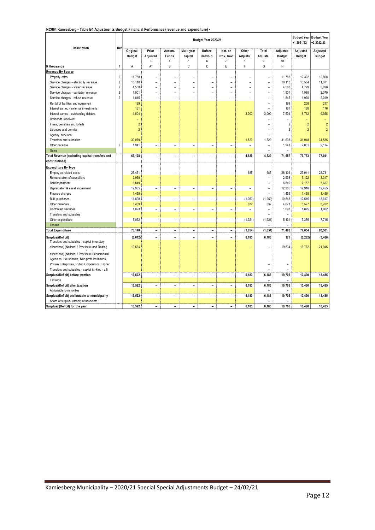#### **NC064 Kamiesberg - Table B4 Adjustments Budget Financial Performance (revenue and expenditure) -**

|                                                                                                  |                                           | Budget Year 2020/21       |                          |                              |                          |                          |                          |                          |                          |                           | +1 2021/22                | <b>Budget Year Budget Year</b><br>+2 2022/23 |
|--------------------------------------------------------------------------------------------------|-------------------------------------------|---------------------------|--------------------------|------------------------------|--------------------------|--------------------------|--------------------------|--------------------------|--------------------------|---------------------------|---------------------------|----------------------------------------------|
| Description                                                                                      | Ref                                       | Original<br><b>Budget</b> | Prior<br>Adjusted        | Accum.<br>Funds              | Multi-year<br>capital    | Unfore.<br>Unavoid.      | Nat. or<br>Prov. Govt    | Other<br>Adjusts.        | Total<br>Adjusts.        | Adjusted<br><b>Budget</b> | Adjusted<br><b>Budget</b> | Adjusted<br><b>Budget</b>                    |
|                                                                                                  |                                           |                           | 3                        | $\overline{4}$<br>B          | 5<br>C                   | 6<br>D                   | $\boldsymbol{7}$<br>E    | 8<br>F                   | 9<br>G                   | 10<br>H                   |                           |                                              |
| R thousands                                                                                      | $\mathbf{1}$                              | A                         | A <sub>1</sub>           |                              |                          |                          |                          |                          |                          |                           |                           |                                              |
| Revenue By Source                                                                                |                                           | 11.788                    | $\overline{a}$           |                              |                          |                          | L,                       |                          | ٠                        | 11,788                    | 12,302                    | 12,868                                       |
| Property rates                                                                                   | $\overline{2}$<br>$\sqrt{2}$              |                           | $\overline{a}$           | L,                           |                          | $\overline{a}$           | $\overline{a}$           |                          | $\overline{a}$           | 10,118                    | 10,584                    | 11,071                                       |
| Service charges - electricity revenue                                                            |                                           | 10,118                    |                          |                              | $\overline{a}$           |                          |                          |                          |                          |                           |                           |                                              |
| Service charges - water revenue                                                                  | $\sqrt{2}$                                | 4,588                     | $\overline{\phantom{a}}$ | L,                           | $\overline{a}$           | $\overline{a}$           | $\overline{\phantom{a}}$ | ۳                        | ÷                        | 4,588                     | 4,799                     | 5,020                                        |
| Service charges - sanitation revenue                                                             | $\overline{\mathbf{c}}$<br>$\overline{2}$ | 1,901                     | $\overline{a}$           | ٠                            | $\overline{a}$           | $\overline{a}$           | $\overline{a}$           | $\overline{a}$           | ٠                        | 1,901                     | 1,988                     | 2,079                                        |
| Service charges - refuse revenue                                                                 |                                           | 1,845                     |                          | $\overline{a}$               | $\overline{a}$           | $\overline{a}$           | $\overline{a}$           | $\overline{a}$           | $\overline{a}$           | 1,845                     | 1,930                     | 2,019                                        |
| Rental of facilities and equipment                                                               |                                           | 199                       |                          |                              |                          |                          |                          |                          | L,                       | 199                       | 208                       | 217                                          |
| Interest earned - external investments                                                           |                                           | 161                       |                          |                              |                          |                          |                          |                          |                          | 161                       | 168                       | 176                                          |
| Interest earned - outstanding debtors                                                            |                                           | 4,504                     |                          |                              |                          |                          |                          | 3,000                    | 3,000                    | 7,504                     | 8,712                     | 9,928                                        |
| Dividends received                                                                               |                                           |                           |                          |                              |                          |                          |                          |                          |                          |                           |                           |                                              |
| Fines, penalties and forfeits                                                                    |                                           | $\overline{2}$            |                          |                              |                          |                          |                          |                          | ۰                        | $\overline{\phantom{a}}$  | $\overline{2}$            | $\overline{2}$                               |
| Licences and permits                                                                             |                                           | $\overline{2}$            |                          |                              |                          |                          |                          |                          | L,                       | $\overline{2}$            | $\overline{2}$            | $\overline{c}$                               |
| Agency services                                                                                  |                                           | ÷                         |                          |                              |                          |                          |                          |                          | $\overline{a}$           |                           | ÷                         |                                              |
| Transfers and subsidies                                                                          |                                           | 30,079                    |                          |                              |                          |                          |                          | 1,529                    | 1,529                    | 31,608                    | 31,048                    | 31,535                                       |
| Other rev enue                                                                                   | $\overline{2}$                            | 1,941                     | $\overline{a}$           | $\overline{a}$               | $\overline{a}$           | $\overline{a}$           | $\overline{a}$           | $\overline{a}$           | $\overline{a}$           | 1,941                     | 2,031                     | 2,124                                        |
| Gains                                                                                            |                                           |                           |                          |                              |                          |                          |                          |                          | ۰                        | $\overline{a}$            |                           |                                              |
| Total Revenue (excluding capital transfers and                                                   |                                           | 67,128                    | $\overline{\phantom{a}}$ | $\overline{\phantom{a}}$     | $\overline{a}$           | $\overline{\phantom{0}}$ | $\overline{\phantom{a}}$ | 4,529                    | 4,529                    | 71,657                    | 73,773                    | 77,041                                       |
| contributions)                                                                                   |                                           |                           |                          |                              |                          |                          |                          |                          |                          |                           |                           |                                              |
| <b>Expenditure By Type</b>                                                                       |                                           |                           |                          |                              |                          |                          |                          |                          |                          |                           |                           |                                              |
| Employee related costs                                                                           |                                           | 25,451                    | $\overline{a}$           | L,                           |                          |                          |                          | 685                      | 685                      | 26,136                    | 27,041                    | 28,731                                       |
| Remuneration of councillors                                                                      |                                           | 2,938                     |                          |                              |                          |                          |                          |                          | $\overline{a}$           | 2,938                     | 3,122                     | 3,317                                        |
| Debt impairment                                                                                  |                                           | 6,849                     |                          |                              |                          |                          |                          |                          | $\overline{a}$           | 6,849                     | 7,157                     | 7,487                                        |
| Depreciation & asset impairment                                                                  |                                           | 12,965                    | $\overline{a}$           | $\overline{a}$               | $\overline{a}$           | $\overline{a}$           | $\overline{a}$           | $\overline{a}$           | $\overline{a}$           | 12,965                    | 12,916                    | 12,455                                       |
| Finance charges                                                                                  |                                           | 1,455                     |                          |                              |                          |                          |                          |                          | $\overline{a}$           | 1,455                     | 1,455                     | 1,455                                        |
| <b>Bulk purchases</b>                                                                            |                                           | 11,898                    | $\overline{a}$           | $\overline{a}$               | $\overline{a}$           | $\overline{a}$           | $\overline{a}$           | (1,050)                  | (1,050)                  | 10,848                    | 12,515                    | 13,617                                       |
| Other materials                                                                                  |                                           | 3,439                     |                          |                              |                          |                          |                          | 632                      | 632                      | 4,071                     | 3,597                     | 3,762                                        |
| Contracted services                                                                              |                                           | 1,093                     | $\overline{a}$           | $\overline{a}$               | $\overline{a}$           | $\overline{a}$           | $\overline{a}$           | $\overline{\phantom{0}}$ | $\overline{a}$           | 1,093                     | 1,875                     | 1,962                                        |
| Transfers and subsidies                                                                          |                                           |                           |                          |                              |                          |                          |                          |                          |                          |                           |                           |                                              |
| Other expenditure                                                                                |                                           | 7,052                     | $\overline{\phantom{a}}$ | $\overline{a}$               | $\overline{a}$           | $\overline{a}$           | $\overline{a}$           | (1, 921)                 | (1, 921)                 | 5,131                     | 7,376                     | 7,715                                        |
| Losses                                                                                           |                                           |                           |                          |                              |                          |                          |                          |                          |                          |                           |                           |                                              |
| <b>Total Expenditure</b>                                                                         |                                           | 73,140                    | $\overline{\phantom{a}}$ | $\overline{\phantom{a}}$     | $\overline{\phantom{0}}$ | $\overline{\phantom{0}}$ | $\overline{\phantom{m}}$ | (1,654)                  | (1, 654)                 | 71,486                    | 77,054                    | 80,501                                       |
| Surplus/(Deficit)                                                                                |                                           | (6, 012)                  | $\overline{a}$           | $\overline{\phantom{a}}$     | $\overline{\phantom{a}}$ | $\qquad \qquad -$        | $\overline{\phantom{a}}$ | 6,183                    | 6,183                    | 171                       | (3, 282)                  | (3, 460)                                     |
| Transfers and subsidies - capital (monetary<br>allocations) (National / Provincial and District) |                                           | 19,534                    |                          |                              |                          |                          |                          |                          |                          | 19,534                    | 13,772                    | 21,945                                       |
| allocations) (National / Prov incial Departmental                                                |                                           |                           |                          |                              |                          |                          |                          |                          |                          |                           |                           |                                              |
| Agencies, Households, Non-profit Institutions,                                                   |                                           |                           |                          |                              |                          |                          |                          |                          |                          |                           |                           |                                              |
| Private Enterprises, Public Corporatons, Higher                                                  |                                           |                           |                          |                              |                          |                          |                          |                          | $\overline{a}$           | $\overline{a}$            |                           |                                              |
| Transfers and subsidies - capital (in-kind - all)                                                |                                           |                           |                          |                              |                          |                          |                          |                          | $\overline{\phantom{a}}$ |                           |                           |                                              |
| Surplus/(Deficit) before taxation                                                                |                                           | 13,522                    | $\overline{\phantom{a}}$ | $\overline{a}$               | $\overline{\phantom{0}}$ | $\overline{\phantom{0}}$ | $\overline{\phantom{a}}$ | 6,183                    | 6,183                    | 19,705                    | 10,490                    | 18,485                                       |
| Tax ation                                                                                        |                                           |                           |                          |                              |                          |                          |                          |                          |                          |                           |                           |                                              |
| Surplus/(Deficit) after taxation                                                                 |                                           | 13,522                    | $\overline{\phantom{a}}$ | $\overline{\phantom{a}}$     | $\overline{\phantom{0}}$ | $\overline{\phantom{0}}$ | $\overline{\phantom{0}}$ | 6,183                    | 6,183                    | 19,705                    | 10,490                    | 18,485                                       |
| Attributable to minorities                                                                       |                                           |                           |                          |                              |                          |                          |                          |                          |                          |                           |                           |                                              |
| Surplus/(Deficit) attributable to municipality                                                   |                                           | 13,522                    | $\qquad \qquad -$        | $\qquad \qquad \blacksquare$ | -                        | $\overline{\phantom{0}}$ | $\qquad \qquad -$        | 6,183                    | 6,183                    | 19,705                    | 10,490                    | 18,485                                       |
| Share of surplus/ (deficit) of associate                                                         |                                           |                           |                          |                              |                          |                          |                          |                          |                          |                           |                           |                                              |
| Surplus/ (Deficit) for the year                                                                  |                                           | 13,522                    | $\overline{a}$           | ۰                            | $\overline{a}$           | $\overline{a}$           | $\overline{a}$           | 6,183                    | 6,183                    | 19.705                    | 10.490                    | 18,485                                       |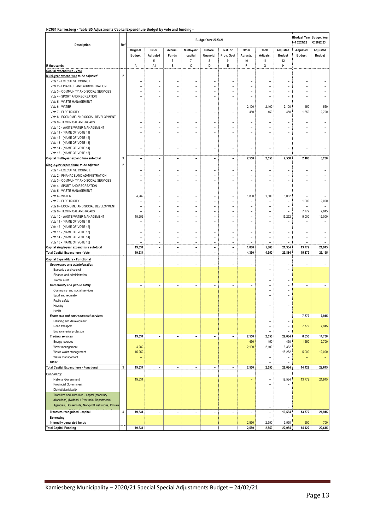#### **NC064 Kamiesberg - Table B5 Adjustments Capital Expenditure Budget by vote and funding -**

| <b>1990 Be Adjustments Supital Experience Budget by Toto and Tunaing</b><br>Description | Ref            |                          | Budget Year 2020/21<br>+1 2021/22 |                          |                           |                                |                          |                          |                                  |                          |                                   | <b>Budget Year Budget Year</b><br>+2 2022/23 |
|-----------------------------------------------------------------------------------------|----------------|--------------------------|-----------------------------------|--------------------------|---------------------------|--------------------------------|--------------------------|--------------------------|----------------------------------|--------------------------|-----------------------------------|----------------------------------------------|
|                                                                                         |                | Original                 | Prior                             | Accum.                   | Multi-year                | Unfore.                        | Nat. or                  | Other                    | Total                            | Adjusted                 | Adjusted                          | Adjusted                                     |
|                                                                                         |                | <b>Budget</b>            | Adjusted<br>5                     | Funds<br>6               | capital<br>$\overline{7}$ | Unavoid.<br>8                  | Prov. Govt<br>9          | Adjusts.<br>10           | Adjusts.<br>11                   | <b>Budget</b><br>12      | <b>Budget</b>                     | <b>Budget</b>                                |
| R thousands                                                                             |                | Α                        | A1                                | B                        | C                         | D                              | E                        | F                        | G                                | $\overline{H}$           |                                   |                                              |
| Capital expenditure - Vote                                                              |                |                          |                                   |                          |                           |                                |                          |                          |                                  |                          |                                   |                                              |
| Multi-year expenditure to be adjusted                                                   | $\overline{2}$ |                          |                                   |                          |                           |                                |                          |                          |                                  |                          |                                   |                                              |
| Vote 1 - EXECUTIVE COUNCIL                                                              |                |                          | $\overline{a}$<br>÷               | -<br>÷,                  | $\overline{a}$<br>÷       | $\overline{\phantom{a}}$<br>÷, | -<br>L,                  | $\overline{\phantom{0}}$ | ÷                                | -<br>$\overline{a}$      |                                   |                                              |
| Vote 2 - FINANACE AND ADMINISTRATION<br>Vote 3 - COMMUNITY AND SOCIAL SERVICES          |                |                          |                                   |                          |                           |                                |                          |                          |                                  |                          |                                   |                                              |
| Vote 4 - SPORT AND RECREATION                                                           |                |                          | $\overline{a}$                    | $\overline{a}$           |                           | L,                             |                          |                          | L,                               |                          |                                   |                                              |
| Vote 5 - WASTE MANAGEMENT                                                               |                |                          | $\overline{a}$                    | $\overline{a}$           | L,                        | L,                             | $\overline{a}$           | $\overline{a}$           | $\overline{a}$                   | $\overline{a}$           | $\overline{\phantom{a}}$          |                                              |
| Vote 6 - WATER                                                                          |                |                          | L.                                | -                        | ÷                         |                                | ۳                        | 2,100                    | 2,100                            | 2,100                    | 450                               | 550                                          |
| Vote 7 - ELECTRICITY                                                                    |                |                          | $\overline{a}$                    | $\overline{a}$           | $\overline{\phantom{a}}$  | $\overline{\phantom{a}}$       | $\overline{a}$           | 450                      | 450                              | 450                      | 1,650                             | 2,700                                        |
| Vote 8 - ECONOMIC AND SOCIAL DEVELOPMENT                                                |                |                          | $\overline{a}$                    | $\overline{a}$           |                           | L,                             |                          | ۳                        | $\overline{a}$                   | L.                       | L.                                |                                              |
| Vote 9 - TECHINICAL AND ROADS                                                           |                | ÷                        | $\overline{\phantom{a}}$          | ÷                        | ÷                         | ٠                              | $\overline{a}$           | $\overline{a}$           | $\overline{\phantom{a}}$         | $\overline{a}$           | $\overline{\phantom{0}}$          |                                              |
| Vote 10 - WASTE WATER MANAGEMENT                                                        |                |                          | $\overline{\phantom{a}}$          | ÷,                       | ÷                         | ٠                              | L,                       | ۳                        | $\overline{\phantom{a}}$         | $\overline{a}$           |                                   |                                              |
| Vote 11 - [NAME OF VOTE 11]<br>Vote 12 - [NAME OF VOTE 12]                              |                |                          |                                   |                          |                           |                                |                          |                          |                                  |                          |                                   |                                              |
| Vote 13 - [NAME OF VOTE 13]                                                             |                |                          |                                   | -                        |                           |                                |                          |                          |                                  |                          |                                   |                                              |
| Vote 14 - [NAME OF VOTE 14]                                                             |                | $\overline{a}$           | $\overline{a}$                    | ÷,                       | $\overline{a}$            | Ĭ.                             | L,                       | $\overline{a}$           | $\overline{a}$                   | $\overline{a}$           | L.                                |                                              |
| Vote 15 - [NAME OF VOTE 15]                                                             |                | $\overline{a}$           | $\overline{a}$                    | $\overline{a}$           | $\overline{a}$            | $\overline{\phantom{0}}$       | $\overline{a}$           |                          | ۳                                |                          |                                   |                                              |
| Capital multi-year expenditure sub-total                                                | 3              | $\overline{a}$           | $\overline{\phantom{a}}$          | $\overline{a}$           | $\overline{a}$            | $\overline{\phantom{a}}$       | $\overline{a}$           | 2,550                    | 2,550                            | 2,550                    | 2,100                             | 3,250                                        |
| Single-year expenditure to be adjusted                                                  | $\overline{2}$ |                          |                                   |                          |                           |                                |                          |                          |                                  |                          |                                   |                                              |
| Vote 1 - EXECUTIVE COUNCIL                                                              |                | ۳                        | $\overline{\phantom{a}}$          | $\overline{\phantom{0}}$ | ÷                         | $\overline{\phantom{a}}$       | L,                       | ۳                        |                                  | -                        |                                   |                                              |
| Vote 2 - FINANACE AND ADMINISTRATION                                                    |                |                          | $\overline{a}$                    | -                        | $\overline{a}$            |                                |                          |                          |                                  | -                        |                                   |                                              |
| Vote 3 - COMMUNITY AND SOCIAL SERVICES                                                  |                | $\overline{a}$           | $\overline{a}$                    | ÷,                       | $\overline{\phantom{a}}$  | $\overline{\phantom{a}}$       | $\overline{\phantom{0}}$ | $\overline{\phantom{0}}$ | ÷                                | $\overline{a}$           |                                   |                                              |
| Vote 4 - SPORT AND RECREATION                                                           |                | ÷                        | $\overline{a}$                    | $\overline{a}$           | $\overline{a}$            | $\overline{a}$                 | $\overline{\phantom{a}}$ | $\overline{a}$           | $\overline{a}$                   | $\overline{a}$           | $\overline{\phantom{a}}$          |                                              |
| Vote 5 - WASTE MANAGEMENT                                                               |                |                          | L.                                | $\overline{a}$           | ÷                         | $\overline{a}$                 | $\overline{a}$           | ۳                        | ۰                                |                          |                                   |                                              |
| Vote 6 - WATER                                                                          |                | 4,282                    | $\overline{a}$                    | $\overline{a}$           | ÷                         | L,                             | L,                       | 1,800                    | 1,800                            | 6,082                    | $\overline{\phantom{a}}$          |                                              |
| Vote 7 - ELECTRICITY<br>Vote 8 - ECONOMIC AND SOCIAL DEVELOPMENT                        |                | ۳                        | ÷                                 | $\overline{a}$<br>÷,     | ÷                         | ٠                              | L,                       | ۳                        | $\overline{\phantom{a}}$         | -                        | 1,000<br>$\overline{\phantom{a}}$ | 2,000<br>٠                                   |
| Vote 9 - TECHINICAL AND ROADS                                                           |                | $\overline{a}$           |                                   | -                        | $\overline{a}$            | Ĭ.                             |                          |                          | $\overline{a}$                   |                          | 7,772                             | 7,945                                        |
| Vote 10 - WASTE WATER MANAGEMENT                                                        |                | 15,252                   | ÷                                 | ÷,                       | ÷                         | ÷                              | L,                       | $\overline{a}$           | $\overline{\phantom{a}}$         | 15,252                   | 5,000                             | 12,000                                       |
| Vote 11 - [NAME OF VOTE 11]                                                             |                |                          |                                   |                          |                           |                                |                          |                          |                                  |                          |                                   |                                              |
| Vote 12 - [NAME OF VOTE 12]                                                             |                |                          | $\overline{a}$                    |                          |                           | L,                             |                          |                          | $\overline{a}$                   |                          |                                   |                                              |
| Vote 13 - [NAME OF VOTE 13]                                                             |                |                          | $\overline{a}$                    | $\overline{a}$           | ÷                         | $\overline{a}$                 | L,                       | $\overline{a}$           | $\overline{a}$                   | $\overline{a}$           |                                   |                                              |
| Vote 14 - [NAME OF VOTE 14]                                                             |                |                          | $\overline{a}$                    | -                        |                           | L,                             | ۳                        | $\overline{a}$           | $\overline{a}$                   |                          | ۰                                 |                                              |
| Vote 15 - [NAME OF VOTE 15]                                                             |                | $\overline{a}$           | $\overline{a}$                    | $\overline{a}$           | $\overline{a}$            | $\overline{a}$                 | $\overline{a}$           | $\overline{a}$           | $\overline{a}$                   | $\overline{a}$           | $\overline{\phantom{a}}$          |                                              |
| Capital single-year expenditure sub-total                                               |                | 19,534                   | $\overline{\phantom{a}}$          | $\overline{\phantom{a}}$ | $\overline{\phantom{0}}$  | $\overline{a}$                 | $\overline{\phantom{a}}$ | 1,800                    | 1,800                            | 21,334                   | 13,772                            | 21,945                                       |
| Total Capital Expenditure - Vote                                                        |                | 19,534                   | $\overline{\phantom{a}}$          | $\overline{\phantom{0}}$ | $\overline{\phantom{a}}$  | $\overline{\phantom{a}}$       | $\overline{\phantom{a}}$ | 4,350                    | 4,350                            | 23,884                   | 15,872                            | 25,195                                       |
| Capital Expenditure - Functional                                                        |                |                          |                                   |                          |                           |                                |                          |                          |                                  |                          |                                   |                                              |
| Governance and administration<br>Executive and council                                  |                |                          | $\overline{\phantom{a}}$          | -                        | ۰                         | $\overline{\phantom{a}}$       | $\overline{a}$           | ۰                        | $\overline{\phantom{a}}$         | $\overline{a}$           |                                   |                                              |
| Finance and administration                                                              |                |                          |                                   |                          |                           |                                |                          |                          | $\overline{a}$                   |                          |                                   |                                              |
| Internal audit                                                                          |                |                          |                                   |                          |                           |                                |                          |                          | L.                               | L                        |                                   |                                              |
| Community and public safety                                                             |                | $\overline{\phantom{a}}$ | $\overline{a}$                    | $\qquad \qquad -$        | $\overline{\phantom{a}}$  | $\qquad \qquad -$              | $\overline{\phantom{a}}$ | $\overline{\phantom{0}}$ | ۰                                | $\overline{a}$           | $\overline{\phantom{a}}$          | ٠                                            |
| Community and social services                                                           |                |                          |                                   |                          |                           |                                |                          |                          | $\overline{a}$                   | $\overline{a}$           |                                   |                                              |
| Sport and recreation                                                                    |                |                          |                                   |                          |                           |                                |                          |                          |                                  |                          |                                   |                                              |
| Public safety                                                                           |                |                          |                                   |                          |                           |                                |                          |                          |                                  | -                        |                                   |                                              |
| Housing                                                                                 |                |                          |                                   |                          |                           |                                |                          |                          |                                  |                          |                                   |                                              |
| Health                                                                                  |                |                          |                                   |                          |                           |                                |                          |                          |                                  |                          |                                   |                                              |
| <b>Economic and environmental services</b>                                              |                |                          | $\overline{a}$                    |                          | $\overline{\phantom{0}}$  |                                |                          | $\overline{\phantom{0}}$ |                                  | $\overline{a}$           | 7,772                             | 7,945                                        |
| Planning and development<br>Road transport                                              |                |                          |                                   |                          |                           |                                |                          |                          | $\overline{a}$<br>$\overline{a}$ | $\overline{a}$<br>-      | 7,772                             | 7,945                                        |
| Environmental protection                                                                |                |                          |                                   |                          |                           |                                |                          |                          |                                  |                          |                                   |                                              |
| <b>Trading services</b>                                                                 |                | 19,534                   | $\overline{\phantom{a}}$          | $\overline{\phantom{0}}$ | $\overline{\phantom{0}}$  | $\overline{\phantom{a}}$       | $\overline{\phantom{a}}$ | 2,550                    | 2,550                            | 22,084                   | 6,650                             | 14,700                                       |
| Energy sources                                                                          |                |                          |                                   |                          |                           |                                | ÷,                       | 450                      | 450                              | 450                      | 1,650                             | 2,700                                        |
| Water management                                                                        |                | 4,282                    |                                   |                          |                           |                                |                          | 2,100                    | 2,100                            | 6,382                    | ÷                                 |                                              |
| Waste water management                                                                  |                | 15,252                   |                                   |                          |                           |                                |                          |                          | $\overline{a}$                   | 15,252                   | 5,000                             | 12,000                                       |
| Waste management                                                                        |                | $\overline{\phantom{0}}$ |                                   |                          |                           |                                |                          |                          | $\overline{a}$                   | ۰                        |                                   | $\overline{\phantom{0}}$                     |
| Other                                                                                   |                |                          |                                   |                          |                           |                                |                          |                          | $\overline{a}$                   | $\overline{a}$           |                                   |                                              |
| Total Capital Expenditure - Functional                                                  | $\mathbf{3}$   | 19,534                   | $\overline{\phantom{0}}$          | $\qquad \qquad -$        | $\overline{\phantom{a}}$  | $\overline{\phantom{a}}$       | $\overline{\phantom{a}}$ | 2,550                    | 2,550                            | 22,084                   | 14,422                            | 22,645                                       |
| Funded by:                                                                              |                |                          |                                   |                          |                           |                                |                          |                          |                                  |                          |                                   |                                              |
| National Government                                                                     |                | 19,534                   |                                   |                          |                           |                                |                          | ÷                        | $\overline{a}$                   | 19,534                   | 13,772                            | 21,945                                       |
| Provincial Government                                                                   |                |                          |                                   |                          |                           |                                |                          |                          | $\overline{\phantom{a}}$         | ۰<br>$\overline{a}$      |                                   |                                              |
| District Municipality<br>Transfers and subsidies - capital (monetary                    |                |                          |                                   |                          |                           |                                |                          |                          |                                  |                          |                                   |                                              |
| allocations) (National / Provincial Departmental                                        |                |                          |                                   |                          |                           |                                |                          |                          |                                  |                          |                                   |                                              |
| Agencies, Households, Non-profit Institutions, Private                                  |                |                          |                                   |                          |                           |                                |                          |                          | $\overline{a}$                   |                          |                                   |                                              |
| Transfers recognised - capital                                                          | 4              | 19,534                   | $\overline{\phantom{0}}$          | $\overline{\phantom{0}}$ | $\overline{\phantom{0}}$  | $\overline{a}$                 | $\overline{\phantom{a}}$ | $\qquad \qquad -$        | $\overline{\phantom{0}}$         | 19,534                   | 13,772                            | 21,945                                       |
| Borrowing                                                                               |                |                          |                                   |                          |                           |                                |                          |                          | $\overline{a}$                   | $\overline{\phantom{0}}$ |                                   |                                              |
| Internally generated funds                                                              |                |                          |                                   |                          |                           |                                |                          | 2,550                    | 2,550                            | 2,550                    | 650                               | 700                                          |
| <b>Total Capital Funding</b>                                                            |                | 19,534                   |                                   |                          |                           |                                |                          | 2,550                    | 2,550                            | 22,084                   | 14,422                            | 22,645                                       |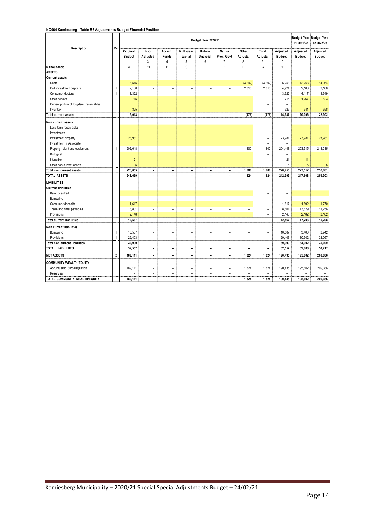**NC064 Kamiesberg - Table B6 Adjustments Budget Financial Position -** 

|                                           |                |                | Budget Year 2020/21<br>+1 2021/22 |                                |                          |                          |                          |                          |                                            |                   |                          | Budget Year Budget Year<br>+2 2022/23 |
|-------------------------------------------|----------------|----------------|-----------------------------------|--------------------------------|--------------------------|--------------------------|--------------------------|--------------------------|--------------------------------------------|-------------------|--------------------------|---------------------------------------|
| Description                               | Ref            | Original       | Prior                             | Accum.                         | Multi-year               | Unfore.                  | Nat. or                  | Other                    | Total                                      | Adjusted          | Adjusted                 | Adjusted                              |
|                                           |                | <b>Budget</b>  | Adjusted<br>3                     | <b>Funds</b><br>$\overline{4}$ | capital                  | Unavoid.<br>6            | Prov. Govt               | Adjusts.                 | Adjusts.<br>9                              | <b>Budget</b>     | <b>Budget</b>            | <b>Budget</b>                         |
|                                           |                |                | A <sub>1</sub>                    | B                              | 5<br>C                   | D                        | $\overline{7}$<br>E      | 8<br>F                   | G                                          | 10<br>H           |                          |                                       |
| R thousands<br><b>ASSETS</b>              |                | Α              |                                   |                                |                          |                          |                          |                          |                                            |                   |                          |                                       |
| <b>Current assets</b>                     |                |                |                                   |                                |                          |                          |                          |                          |                                            |                   |                          |                                       |
| Cash                                      |                | 8,545          |                                   |                                |                          |                          |                          | (3, 292)                 | (3, 292)                                   | 5,253             | 12,263                   | 14,064                                |
| Call investment deposits                  | 1              | 2,108          | $\overline{a}$                    | $\overline{\phantom{a}}$       | $\overline{\phantom{a}}$ | $\overline{a}$           | $\overline{a}$           | 2,816                    | 2,816                                      | 4,924             | 2,108                    | 2,108                                 |
| Consumer debtors                          | $\mathbf{1}$   | 3,322          | ۰                                 | ٠                              | ÷                        | ÷                        | $\overline{a}$           | $\overline{a}$           | $\overline{a}$                             | 3,322             | 4,117                    | 4,949                                 |
| Other debtors                             |                | 715            |                                   |                                |                          |                          |                          |                          |                                            | 715               | 1,267                    | 823                                   |
|                                           |                |                |                                   |                                |                          |                          |                          |                          | $\overline{a}$<br>$\overline{\phantom{0}}$ | $\overline{a}$    |                          |                                       |
| Current portion of long-term receiv ables |                | 325            |                                   |                                |                          |                          |                          |                          | $\overline{a}$                             | 325               | 341                      | 358                                   |
| Inv entory<br>Total current assets        |                | 15,013         |                                   | $\overline{\phantom{a}}$       |                          |                          | $\overline{\phantom{a}}$ | (476)                    | (476)                                      | 14,537            | 20,096                   | 22,302                                |
|                                           |                |                | $\overline{\phantom{a}}$          |                                | $\overline{\phantom{a}}$ | $\overline{\phantom{a}}$ |                          |                          |                                            |                   |                          |                                       |
| Non current assets                        |                |                |                                   |                                |                          |                          |                          |                          |                                            |                   |                          |                                       |
| Long-term receivables                     |                |                |                                   |                                |                          |                          |                          |                          | $\overline{a}$                             | $\overline{a}$    |                          |                                       |
| Investments                               |                |                |                                   |                                |                          |                          |                          |                          | $\overline{a}$                             |                   |                          |                                       |
| Investment property                       |                | 23,981         |                                   |                                |                          |                          |                          |                          | $\overline{\phantom{0}}$                   | 23,981            | 23,981                   | 23,981                                |
| Investment in Associate                   |                |                |                                   |                                |                          |                          |                          |                          | $\overline{a}$                             | ۳                 |                          |                                       |
| Property, plant and equipment             | 1              | 202,648        | $\overline{\phantom{0}}$          | $\overline{\phantom{a}}$       | $\overline{\phantom{a}}$ | $\overline{a}$           | $\overline{\phantom{a}}$ | 1,800                    | 1,800                                      | 204.448           | 203,515                  | 213,015                               |
| Biological                                |                |                |                                   |                                |                          |                          |                          |                          | $\overline{a}$                             | $\overline{a}$    |                          |                                       |
| Intangible                                |                | 21             |                                   |                                |                          |                          |                          |                          | $\overline{a}$                             | 21                | 11                       | 1                                     |
| Other non-current assets                  |                | 5              |                                   |                                |                          |                          |                          |                          | $\overline{\phantom{0}}$                   | 5                 | 5                        | $\overline{5}$                        |
| Total non current assets                  |                | 226,655        | $\overline{\phantom{a}}$          | $\overline{\phantom{a}}$       | $\overline{\phantom{a}}$ | $\overline{\phantom{a}}$ | $\overline{\phantom{a}}$ | 1,800                    | 1,800                                      | 228,455           | 227,512                  | 237,001                               |
| <b>TOTAL ASSETS</b>                       |                | 241,669        | $\overline{\phantom{a}}$          | $\blacksquare$                 | $\overline{\phantom{a}}$ | $\blacksquare$           | $\overline{\phantom{a}}$ | 1,324                    | 1,324                                      | 242,993           | 247,608                  | 259,303                               |
| <b>LIABILITIES</b>                        |                |                |                                   |                                |                          |                          |                          |                          |                                            |                   |                          |                                       |
| <b>Current liabilities</b>                |                |                |                                   |                                |                          |                          |                          |                          |                                            |                   |                          |                                       |
| Bank ov erdraft                           |                |                |                                   |                                |                          |                          |                          |                          | $\overline{\phantom{0}}$                   | $\qquad \qquad -$ |                          |                                       |
| Borrow ing                                |                | $\overline{a}$ | $\overline{a}$                    | $\overline{a}$                 | $\overline{\phantom{a}}$ | $\overline{\phantom{0}}$ | $\overline{a}$           | $\overline{a}$           | $\overline{\phantom{0}}$                   | $\overline{a}$    | $\overline{\phantom{0}}$ | $\overline{\phantom{a}}$              |
| Consumer deposits                         |                | 1,617          |                                   |                                |                          |                          |                          |                          | $\overline{a}$                             | 1,617             | 1,692                    | 1,770                                 |
| Trade and other pay ables                 |                | 8,801          | $\overline{\phantom{a}}$          | $\overline{\phantom{a}}$       | $\overline{\phantom{a}}$ | $\overline{\phantom{a}}$ | $\overline{\phantom{a}}$ | $\overline{\phantom{0}}$ | $\overline{\phantom{0}}$                   | 8,801             | 13,829                   | 11,256                                |
| Prov isions                               |                | 2,148          |                                   |                                |                          |                          |                          |                          | $\overline{\phantom{a}}$                   | 2,148             | 2,182                    | 2,182                                 |
| <b>Total current liabilities</b>          |                | 12,567         | $\overline{\phantom{a}}$          | $\blacksquare$                 | $\blacksquare$           | $\blacksquare$           | $\blacksquare$           | $\blacksquare$           | $\blacksquare$                             | 12,567            | 17,703                   | 15,208                                |
|                                           |                |                |                                   |                                |                          |                          |                          |                          |                                            |                   |                          |                                       |
| Non current liabilities                   |                |                |                                   |                                |                          |                          |                          |                          |                                            |                   |                          |                                       |
| Borrow ing                                | $\mathbf{1}$   | 10,587         | $\overline{a}$                    | $\overline{a}$                 | $\overline{a}$           | -                        | $\overline{\phantom{0}}$ | $\overline{a}$           | $\overline{\phantom{0}}$                   | 10,587            | 3,400                    | 2,942                                 |
| Prov isions                               | 1              | 29,403         | $\overline{a}$                    | $\overline{\phantom{a}}$       | $\overline{a}$           | $\overline{a}$           | $\overline{a}$           | $\overline{a}$           | $\overline{a}$                             | 29,403            | 30,902                   | 32,067                                |
| Total non current liabilities             |                | 39,990         | $\overline{\phantom{a}}$          | $\overline{\phantom{a}}$       | $\overline{\phantom{a}}$ | $\overline{\phantom{a}}$ | $\overline{\phantom{a}}$ | $\overline{\phantom{a}}$ | $\overline{\phantom{a}}$                   | 39,990            | 34,302                   | 35,009                                |
| <b>TOTAL LIABILITIES</b>                  |                | 52.557         | $\overline{\phantom{a}}$          | $\overline{\phantom{m}}$       | $\overline{\phantom{a}}$ | $\overline{a}$           | $\overline{\phantom{a}}$ | $\overline{\phantom{0}}$ | $\overline{a}$                             | 52,557            | 52,006                   | 50.217                                |
| <b>NET ASSETS</b>                         | $\overline{2}$ | 189,111        | $\blacksquare$                    | $\blacksquare$                 | $\blacksquare$           | $\overline{\phantom{a}}$ | $\blacksquare$           | 1,324                    | 1,324                                      | 190,435           | 195,602                  | 209,086                               |
| <b>COMMUNITY WEALTH/EQUITY</b>            |                |                |                                   |                                |                          |                          |                          |                          |                                            |                   |                          |                                       |
| Accumulated Surplus/(Deficit)             |                | 189,111        | $\overline{a}$                    | $\overline{a}$                 | $\overline{a}$           | $\overline{a}$           | $\overline{a}$           | 1,324                    | 1,324                                      | 190,435           | 195,602                  | 209,086                               |
| Reserves                                  |                |                | L,                                | $\overline{\phantom{a}}$       | $\overline{a}$           | $\overline{a}$           | $\overline{a}$           | L,                       |                                            |                   |                          |                                       |
| TOTAL COMMUNITY WEALTH/EQUITY             |                | 189,111        | $\overline{\phantom{m}}$          | $\overline{a}$                 | $\overline{a}$           | $\overline{a}$           | ÷                        | 1.324                    | 1.324                                      | 190.435           | 195.602                  | 209,086                               |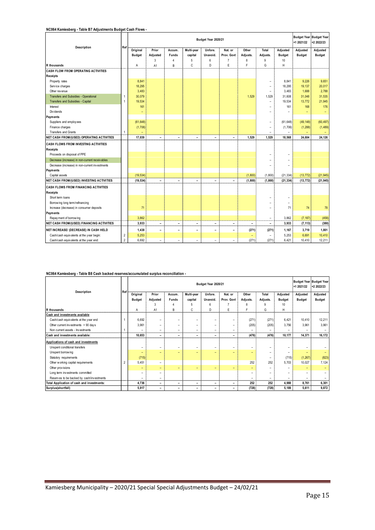#### **NC064 Kamiesberg - Table B7 Adjustments Budget Cash Flows -**

| Description                                      | Ref            |               |                          |                          |                          | Budget Year 2020/21      |                          |                          |                          |                          | Budget Year Budget Year<br>+1 2021/22 | +2 2022/23    |
|--------------------------------------------------|----------------|---------------|--------------------------|--------------------------|--------------------------|--------------------------|--------------------------|--------------------------|--------------------------|--------------------------|---------------------------------------|---------------|
|                                                  |                | Original      | Prior                    | Accum.                   | Multi-year               | Unfore.                  | Nat. or                  | Other                    | Total                    | Adjusted                 | Adjusted                              | Adjusted      |
|                                                  |                | <b>Budget</b> | Adjusted                 | <b>Funds</b>             | capital                  | Unavoid.                 | Prov. Govt               | Adjusts.                 | Adjusts.                 | <b>Budget</b>            | <b>Budget</b>                         | <b>Budget</b> |
|                                                  |                |               | 3                        | $\overline{4}$           | 5                        | 6                        | $\overline{7}$           | 8                        | 9                        | $10$                     |                                       |               |
| R thousands                                      |                | A             | A <sub>1</sub>           | B                        | C                        | D                        | E                        | F                        | G                        | H                        |                                       |               |
| CASH FLOW FROM OPERATING ACTIVITIES              |                |               |                          |                          |                          |                          |                          |                          |                          |                          |                                       |               |
| <b>Receipts</b>                                  |                |               |                          |                          |                          |                          |                          |                          |                          |                          |                                       |               |
| Property rates                                   |                | 8.841         |                          |                          |                          |                          |                          |                          |                          | 8.841                    | 9,226                                 | 9,651         |
| Service charges                                  |                | 18,295        |                          |                          |                          |                          |                          |                          | ۰                        | 18,295                   | 19,137                                | 20,017        |
| Other rev enue                                   |                | 3,483         |                          |                          |                          |                          |                          |                          | ۰                        | 3,483                    | 1,688                                 | 2,788         |
| Transfers and Subsidies - Operational            | 1              | 30,079        |                          |                          |                          |                          |                          | 1.529                    | 1.529                    | 31,608                   | 31,048                                | 31,535        |
| Transfers and Subsidies - Capital                | $\overline{1}$ | 19,534        |                          |                          |                          |                          |                          |                          |                          | 19,534                   | 13,772                                | 21,945        |
| Interest                                         |                | 161           |                          |                          |                          |                          |                          |                          |                          | 161                      | 168                                   | 176           |
| Div idends                                       |                | ÷             |                          |                          |                          |                          |                          |                          |                          | $\overline{\phantom{0}}$ | ۳                                     | ۳             |
| Payments                                         |                |               |                          |                          |                          |                          |                          |                          |                          |                          |                                       |               |
| Suppliers and employees                          |                | (61, 648)     |                          |                          |                          |                          |                          |                          |                          | (61, 648)                | (49, 148)                             | (60, 497)     |
| Finance charges                                  |                | (1,706)       |                          |                          |                          |                          |                          |                          |                          | (1,706)                  | (1, 288)                              | (1, 489)      |
| <b>Transfers and Grants</b>                      | $\mathbf{1}$   | $\equiv$      |                          |                          |                          |                          |                          |                          | ۰                        |                          |                                       |               |
| NET CASH FROM/(USED) OPERATING ACTIVITIES        |                | 17,039        | $\overline{\phantom{a}}$ | $\qquad \qquad -$        | $\overline{\phantom{0}}$ | $\overline{\phantom{a}}$ | $\qquad \qquad -$        | 1.529                    | 1,529                    | 18,568                   | 24,604                                | 24.126        |
| <b>CASH FLOWS FROM INVESTING ACTIVITIES</b>      |                |               |                          |                          |                          |                          |                          |                          |                          |                          |                                       |               |
| Receipts                                         |                |               |                          |                          |                          |                          |                          |                          |                          |                          |                                       |               |
| Proceeds on disposal of PPE                      |                |               |                          |                          |                          |                          |                          |                          |                          |                          |                                       |               |
| Decrease (increase) in non-current receivables   |                |               |                          |                          |                          |                          |                          |                          |                          | ۰                        |                                       |               |
| Decrease (increase) in non-current investments   |                |               |                          |                          |                          |                          |                          |                          |                          | $\overline{\phantom{0}}$ |                                       |               |
| Payments                                         |                |               |                          |                          |                          |                          |                          |                          |                          |                          |                                       |               |
| Capital assets                                   |                | (19, 534)     |                          |                          |                          |                          |                          | (1,800)                  | (1,800)                  | (21, 334)                | (13, 772)                             | (21, 945)     |
| <b>NET CASH FROM/(USED) INVESTING ACTIVITIES</b> |                | (19, 534)     | $\overline{\phantom{a}}$ | $\overline{\phantom{0}}$ | $\overline{\phantom{0}}$ | $\overline{\phantom{0}}$ | $\overline{\phantom{a}}$ | (1, 800)                 | (1, 800)                 | (21, 334)                | (13, 772)                             | (21, 945)     |
| CASH FLOWS FROM FINANCING ACTIVITIES             |                |               |                          |                          |                          |                          |                          |                          |                          |                          |                                       |               |
| Receipts                                         |                |               |                          |                          |                          |                          |                          |                          |                          |                          |                                       |               |
| Short term loans                                 |                |               |                          |                          |                          |                          |                          |                          |                          | ۰                        |                                       |               |
| Borrowing long term/refinancing                  |                |               |                          |                          |                          |                          |                          |                          | ۰                        | $\overline{a}$           |                                       |               |
| Increase (decrease) in consumer deposits         |                | 71            |                          |                          |                          |                          |                          |                          |                          | 71                       | 74                                    | 78            |
| Payments                                         |                |               |                          |                          |                          |                          |                          |                          |                          |                          |                                       |               |
| Repay ment of borrowing                          |                | 3,862         |                          |                          |                          |                          |                          |                          |                          | 3,862                    | (7, 187)                              | (458)         |
| <b>NET CASH FROM/(USED) FINANCING ACTIVITIES</b> |                | 3,933         | $\overline{\phantom{a}}$ | $\overline{\phantom{0}}$ | $\overline{\phantom{0}}$ | $\overline{\phantom{a}}$ | $\overline{\phantom{0}}$ | $\overline{\phantom{a}}$ | $\overline{\phantom{0}}$ | 3,933                    | (7, 113)                              | (380)         |
| NET INCREASE/ (DECREASE) IN CASH HELD            |                | 1,438         | ۳                        | $\overline{\phantom{0}}$ | $\overline{\phantom{0}}$ | $\overline{\phantom{a}}$ | $\overline{\phantom{0}}$ | (271)                    | (271)                    | 1,167                    | 3,719                                 | 1,801         |
| Cash/cash equivalents at the year begin:         | $\overline{2}$ | 5,253         |                          |                          |                          |                          |                          | ۳                        | ۰                        | 5,253                    | 6,691                                 | 10,410        |
| Cash/cash equivalents at the year end:           | $\overline{2}$ | 6.692         | $\overline{\phantom{a}}$ | $\overline{\phantom{a}}$ | $\overline{\phantom{a}}$ | $\overline{\phantom{0}}$ | $\overline{\phantom{a}}$ | (271)                    | (271)                    | 6,421                    | 10,410                                | 12,211        |

#### **NC064 Kamiesberg - Table B8 Cash backed reserves/accumulated surplus reconciliation -**

| Description                                | Ref            |               | Budget Year 2020/21      |                          |            |                          |                          |                          |                          |                  |               |               |
|--------------------------------------------|----------------|---------------|--------------------------|--------------------------|------------|--------------------------|--------------------------|--------------------------|--------------------------|------------------|---------------|---------------|
|                                            |                | Original      | Prior                    | Accum.                   | Multi-year | Unfore.                  | Nat. or                  | Other                    | Total                    | Adjusted         | Adjusted      | Adjusted      |
|                                            |                | <b>Budget</b> | Adjusted                 | <b>Funds</b>             | capital    | Unavoid.                 | Prov. Govt               | Adjusts.                 | Adjusts.                 | <b>Budget</b>    | <b>Budget</b> | <b>Budget</b> |
|                                            |                |               |                          |                          | 5          | 6                        |                          |                          |                          | 10 <sup>10</sup> |               |               |
| R thousands                                |                | Α             | A1                       | B                        | C          | D                        | E                        |                          | G                        | H                |               |               |
| Cash and investments available             |                |               |                          |                          |            |                          |                          |                          |                          |                  |               |               |
| Cash/cash equivalents at the year end      |                | 6,692         | -                        |                          | -          |                          |                          | (271)                    | (271)                    | 6,421            | 10,410        | 12,211        |
| Other current investments > 90 days        |                | 3,961         | -                        | ۰                        | -          | $\qquad \qquad -$        |                          | (205)                    | (205)                    | 3,756            | 3,961         | 3,961         |
| Non current assets - Investments           |                | -             | -                        | $\overline{\phantom{m}}$ | -          | $\overline{\phantom{0}}$ | ۰                        | $\overline{\phantom{0}}$ | -                        | -                |               |               |
| <b>Cash and investments available:</b>     |                | 10.653        | $\overline{\phantom{0}}$ | $\overline{\phantom{a}}$ | -          | -                        | $\overline{\phantom{a}}$ | (476)                    | (476)                    | 10,177           | 14,371        | 16,172        |
| Applications of cash and investments       |                |               |                          |                          |            |                          |                          |                          |                          |                  |               |               |
| Unspent conditional transfers              |                | -             | -                        |                          | -          | -                        | $\overline{\phantom{0}}$ | $\equiv$                 | -                        | -                |               |               |
| Unspent borrowing                          |                | -             | -                        | ۰                        | -          | -                        | $\overline{\phantom{0}}$ | $\overline{\phantom{0}}$ | $\overline{\phantom{0}}$ | -                |               |               |
| Statutory requirements                     |                | (715)         |                          |                          |            |                          |                          |                          | -                        | (715)            | (1,267)       | (823)         |
| Other working capital requirements         | $\overline{2}$ | 5,451         | $\equiv$                 |                          |            |                          |                          | 252                      | 252                      | 5,703            | 10,027        | 7,124         |
| Other provisions                           |                | -             | $\overline{\phantom{0}}$ |                          | -          | -                        | -                        | $-$                      | $\overline{\phantom{0}}$ | -                |               |               |
| Long term investments committed            |                | -             | -                        |                          |            |                          |                          | $\overline{\phantom{0}}$ |                          | -                |               |               |
| Reserves to be backed by cash/investments  |                | -             | -                        |                          |            |                          |                          | -                        | $\overline{\phantom{0}}$ |                  |               |               |
| Total Application of cash and investments: |                | 4,736         | -                        | $\overline{\phantom{a}}$ | -          | $\overline{\phantom{0}}$ | $\overline{\phantom{a}}$ | 252                      | 252                      | 4,988            | 8.761         | 6,301         |
| Surplus(shortfall)                         |                | 5,917         | -                        | -                        | -          | -                        | ۰                        | (728)                    | (728)                    | 5,189            | 5,611         | 9,872         |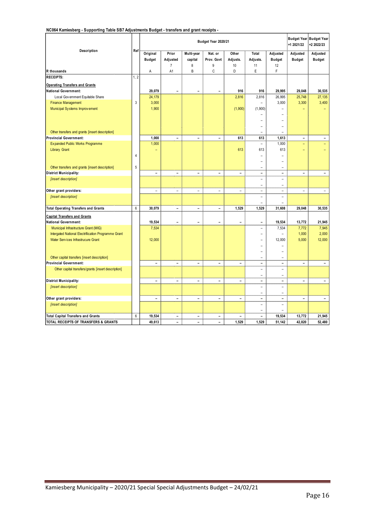**NC064 Kamiesberg - Supporting Table SB7 Adjustments Budget - transfers and grant receipts -** 

| Description                                         | Ref            |                          |                          |                              | Budget Year 2020/21      |                              |                          |                     | +1 2021/22               | <b>Budget Year Budget Year</b><br>+2 2022/23 |
|-----------------------------------------------------|----------------|--------------------------|--------------------------|------------------------------|--------------------------|------------------------------|--------------------------|---------------------|--------------------------|----------------------------------------------|
|                                                     |                | Original                 | Prior                    | Multi-year                   | Nat. or                  | Other                        | Total                    | Adjusted            | Adjusted                 | Adjusted                                     |
|                                                     |                | <b>Budget</b>            | Adjusted                 | capital                      | Prov. Govt               | Adjusts.                     | Adjusts.                 | <b>Budget</b>       | <b>Budget</b>            | <b>Budget</b>                                |
|                                                     |                |                          | $\overline{7}$           | 8                            | 9                        | 10                           | 11                       | 12                  |                          |                                              |
| R thousands                                         |                | A                        | A1                       | B                            | C                        | D                            | E                        | F.                  |                          |                                              |
| <b>RECEIPTS:</b>                                    | 1, 2           |                          |                          |                              |                          |                              |                          |                     |                          |                                              |
| <b>Operating Transfers and Grants</b>               |                |                          |                          |                              |                          |                              |                          |                     |                          |                                              |
| <b>National Government:</b>                         |                | 29,079                   |                          |                              |                          | 916                          | 916                      | 29,995              | 29,048                   | 30,535                                       |
| Local Government Equitable Share                    |                | 24,179                   |                          |                              |                          | 2,816                        | 2,816                    | 26,995              | 25,748                   | 27,135                                       |
| <b>Finance Management</b>                           | 3              | 3,000                    |                          |                              |                          |                              | L.                       | 3,000               | 3,300                    | 3,400                                        |
| Municipal Systems Improvement                       |                | 1,900                    |                          |                              |                          | (1,900)                      | (1,900)                  |                     |                          |                                              |
|                                                     |                |                          |                          |                              |                          |                              |                          | ۳                   |                          |                                              |
|                                                     |                |                          |                          |                              |                          |                              | ÷                        | $\overline{ }$      |                          |                                              |
|                                                     |                |                          |                          |                              |                          |                              | ÷.                       | $\overline{a}$      |                          |                                              |
| Other transfers and grants [insert description]     |                |                          |                          |                              |                          |                              | $\overline{\phantom{a}}$ | L.                  |                          |                                              |
| <b>Provincial Government:</b>                       |                | 1,000                    | ÷                        | $\blacksquare$               | $\blacksquare$           | 613                          | 613                      | 1,613               | $\overline{\phantom{a}}$ | -                                            |
| Expanded Public Works Programme                     |                | 1,000                    |                          |                              |                          |                              | $\bar{a}$                | 1,000               | ÷,                       |                                              |
| <b>Library Grant</b>                                |                |                          |                          |                              |                          | 613                          | 613                      | 613                 | $\overline{a}$           |                                              |
|                                                     | $\overline{4}$ |                          |                          |                              |                          |                              | ۳                        |                     |                          |                                              |
|                                                     |                |                          |                          |                              |                          |                              | ÷                        |                     |                          |                                              |
| Other transfers and grants [insert description]     | 5              |                          |                          |                              |                          |                              | ÷,                       | $\overline{a}$      |                          |                                              |
| <b>District Municipality:</b>                       |                | $\overline{a}$           | L.                       | $\overline{\phantom{a}}$     | $\blacksquare$           | $\blacksquare$               | $\overline{a}$           | -                   | $\overline{\phantom{0}}$ | ÷                                            |
| [insert description]                                |                |                          |                          |                              |                          |                              | ÷,                       | L.                  |                          |                                              |
|                                                     |                |                          |                          |                              |                          |                              | ÷,                       | L.                  |                          |                                              |
| Other grant providers:                              |                | $\overline{a}$           | $\bar{ }$                | $\equiv$                     | $\frac{1}{2}$            | $\frac{1}{2}$                | $\overline{a}$           | $\overline{a}$      | $\overline{\phantom{a}}$ | $\bar{a}$                                    |
| [insert description]                                |                |                          |                          |                              |                          |                              | L.                       | L                   |                          |                                              |
|                                                     |                |                          |                          |                              |                          |                              | L,                       | L                   |                          |                                              |
| <b>Total Operating Transfers and Grants</b>         | $6\phantom{a}$ | 30,079                   | $\overline{a}$           | $\overline{\phantom{a}}$     | $\qquad \qquad -$        | 1,529                        | 1,529                    | 31,608              | 29,048                   | 30,535                                       |
| <b>Capital Transfers and Grants</b>                 |                |                          |                          |                              |                          |                              |                          |                     |                          |                                              |
| <b>National Government:</b>                         |                | 19,534                   |                          | L.                           |                          |                              |                          | 19,534              | 13,772                   | 21,945                                       |
| Municipal Infrastructure Grant (MIG)                |                | 7,534                    |                          |                              |                          |                              | L.                       | 7,534               | 7,772                    | 7,945                                        |
| Intergated National Electrification Programme Grant |                |                          |                          |                              |                          |                              | ۳                        |                     | 1,000                    | 2,000                                        |
| Water Services Infrastrucure Grant                  |                | 12,000                   |                          |                              |                          |                              | ÷                        | 12,000              | 5,000                    | 12,000                                       |
|                                                     |                |                          |                          |                              |                          |                              | ۳                        | $\overline{ }$      |                          |                                              |
|                                                     |                |                          |                          |                              |                          |                              | ۳                        | -                   |                          |                                              |
| Other capital transfers [insert description]        |                |                          |                          |                              |                          |                              | ۳                        |                     |                          |                                              |
| <b>Provincial Government:</b>                       |                | $\overline{\phantom{a}}$ | $\overline{\phantom{a}}$ | $\blacksquare$               | $\blacksquare$           | $\overline{a}$               | $\overline{\phantom{a}}$ | $\blacksquare$      | $\blacksquare$           | $\blacksquare$                               |
| Other capital transfers/grants [insert description] |                |                          |                          |                              |                          |                              | ÷,                       | L.                  |                          |                                              |
|                                                     |                |                          |                          |                              |                          |                              | L.                       | Ξ                   |                          |                                              |
| <b>District Municipality:</b>                       |                | ۳                        | ۳                        | $\blacksquare$               | ٠                        | ٠                            | $\overline{a}$           | L.                  | ۳                        | ٠                                            |
| [insert description]                                |                |                          |                          |                              |                          |                              | ÷,<br>÷,                 | $\overline{a}$<br>- |                          |                                              |
| Other grant providers:                              |                | $\frac{1}{2}$            | ÷,                       | $\overline{\phantom{a}}$     | $\qquad \qquad -$        | $\qquad \qquad \blacksquare$ | $\overline{a}$           | -                   | $\overline{\phantom{0}}$ | ÷,                                           |
| [insert description]                                |                |                          |                          |                              |                          |                              | L,                       | $\overline{a}$      |                          |                                              |
|                                                     |                |                          |                          |                              |                          |                              | -                        |                     |                          |                                              |
| <b>Total Capital Transfers and Grants</b>           | 6              | 19,534                   | ÷,                       | $\qquad \qquad \blacksquare$ | $\frac{1}{2}$            |                              | $\overline{a}$           | 19,534              | 13,772                   | 21,945                                       |
| TOTAL RECEIPTS OF TRANSFERS & GRANTS                |                | 49.613                   | ÷,                       | $\blacksquare$               | $\overline{\phantom{0}}$ | 1.529                        | 1.529                    | 51.142              | 42,820                   | 52.480                                       |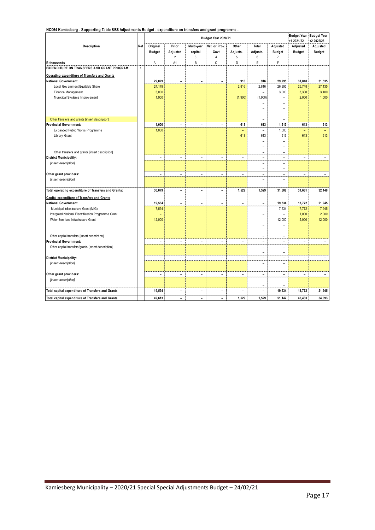**NC064 Kamiesberg - Supporting Table SB8 Adjustments Budget - expenditure on transfers and grant programme -** 

|                                                      |              |                          |                          |                          | Budget Year 2020/21      |                          |                          |                          | <b>Budget Year</b>       | <b>Budget Year</b>       |
|------------------------------------------------------|--------------|--------------------------|--------------------------|--------------------------|--------------------------|--------------------------|--------------------------|--------------------------|--------------------------|--------------------------|
|                                                      |              |                          |                          |                          |                          |                          |                          |                          | +1 2021/22               | +2 2022/23               |
| Description                                          | Ref          | Original                 | Prior                    | Multi-year               | Nat. or Prov.            | Other                    | Total                    | Adjusted                 | Adjusted                 | Adjusted                 |
|                                                      |              | <b>Budget</b>            | Adjusted                 | capital                  | Govt                     | Adjusts.                 | Adjusts.                 | <b>Budget</b>            | <b>Budget</b>            | <b>Budget</b>            |
|                                                      |              |                          | $\overline{2}$           | 3                        | $\overline{4}$           | 5                        | 6                        | $\overline{7}$           |                          |                          |
| R thousands                                          |              | Α                        | A1                       | B                        | C                        | D                        | E                        | F                        |                          |                          |
| EXPENDITURE ON TRANSFERS AND GRANT PROGRAM:          | $\mathbf{1}$ |                          |                          |                          |                          |                          |                          |                          |                          |                          |
| Operating expenditure of Transfers and Grants        |              |                          |                          |                          |                          |                          |                          |                          |                          |                          |
| <b>National Government:</b>                          |              | 29,079                   | $\overline{\phantom{0}}$ | $\overline{\phantom{0}}$ | $\blacksquare$           | 916                      | 916                      | 29,995                   | 31,048                   | 31,535                   |
| Local Government Equitable Share                     |              | 24,179                   |                          |                          |                          | 2,816                    | 2,816                    | 26,995                   | 25,748                   | 27,135                   |
| Finance Management                                   |              | 3,000                    |                          |                          |                          |                          | $\overline{\phantom{a}}$ | 3,000                    | 3,300                    | 3,400                    |
| Municipal Systems Improvement                        |              | 1,900                    |                          |                          |                          | (1,900)                  | (1,900)                  | $\overline{a}$           | 2,000                    | 1,000                    |
|                                                      |              |                          |                          |                          |                          |                          |                          |                          |                          |                          |
|                                                      |              |                          |                          |                          |                          |                          | ۰                        | $\overline{a}$           |                          |                          |
|                                                      |              |                          |                          |                          |                          |                          | ۰                        | $\overline{a}$           |                          |                          |
| Other transfers and grants [insert description]      |              |                          |                          |                          |                          |                          | $\overline{\phantom{a}}$ | $\overline{\phantom{a}}$ |                          |                          |
| <b>Provincial Government:</b>                        |              | 1,000                    | $\overline{a}$           | $\blacksquare$           | $\blacksquare$           | 613                      | 613                      | 1,613                    | 613                      | 613                      |
| Expanded Public Works Programme                      |              | 1,000                    |                          |                          |                          |                          | $\overline{a}$           | 1,000                    | $\overline{\phantom{0}}$ |                          |
| Library Grant                                        |              |                          |                          |                          |                          | 613                      | 613                      | 613                      | 613                      | 613                      |
|                                                      |              |                          |                          |                          |                          |                          | ۰                        |                          |                          |                          |
|                                                      |              |                          |                          |                          |                          |                          | ۳                        |                          |                          |                          |
| Other transfers and grants [insert description]      |              |                          |                          |                          |                          |                          | $\overline{\phantom{a}}$ | ٠                        |                          |                          |
| <b>District Municipality:</b>                        |              | $\overline{\phantom{0}}$ | $\overline{a}$           | $\blacksquare$           | $\blacksquare$           | $\overline{\phantom{0}}$ | $\blacksquare$           | $\overline{\phantom{0}}$ | Ξ.                       | $\overline{\phantom{a}}$ |
| [insert description]                                 |              |                          |                          |                          |                          |                          | L.                       | $\overline{\phantom{0}}$ |                          |                          |
|                                                      |              |                          |                          |                          |                          |                          | $\overline{\phantom{a}}$ | $\overline{a}$           |                          |                          |
| Other grant providers:                               |              | $\overline{\phantom{a}}$ | L.                       | $\overline{\phantom{0}}$ | $\overline{\phantom{a}}$ | $\overline{\phantom{a}}$ | $\overline{\phantom{a}}$ | $\overline{\phantom{a}}$ | $\overline{\phantom{0}}$ | $\overline{\phantom{a}}$ |
| [insert description]                                 |              |                          |                          |                          |                          |                          | $\overline{\phantom{a}}$ | ۰                        |                          |                          |
|                                                      |              |                          |                          |                          |                          |                          | ۰                        |                          |                          |                          |
| Total operating expenditure of Transfers and Grants: |              | 30,079                   | $\overline{a}$           | $\blacksquare$           | $\blacksquare$           | 1,529                    | 1,529                    | 31,608                   | 31,661                   | 32,148                   |
| Capital expenditure of Transfers and Grants          |              |                          |                          |                          |                          |                          |                          |                          |                          |                          |
| <b>National Government:</b>                          |              | 19,534                   | $\overline{a}$           | ÷                        | ۰                        | ÷                        | $\overline{\phantom{a}}$ | 19,534                   | 13,772                   | 21,945                   |
| Municipal Infrastructure Grant (MIG)                 |              | 7,534                    | Ξ                        | -                        | Ē,                       | ÷                        | L,                       | 7,534                    | 7,772                    | 7,945                    |
| Intergated National Electrification Programme Grant  |              |                          |                          |                          |                          |                          |                          |                          | 1,000                    | 2,000                    |
| Water Services Infrastrucure Grant                   |              | 12,000                   | ÷                        |                          |                          | ÷                        | L                        | 12,000                   | 5,000                    | 12,000                   |
|                                                      |              |                          |                          |                          |                          |                          |                          |                          |                          |                          |
|                                                      |              |                          |                          |                          |                          |                          | $\overline{a}$           | $\overline{\phantom{0}}$ |                          |                          |
| Other capital transfers [insert description]         |              |                          |                          |                          |                          |                          | ۰                        | ۰                        |                          |                          |
| Provincial Government:                               |              | $\overline{\phantom{a}}$ | $\overline{a}$           | $\overline{\phantom{a}}$ | $\overline{\phantom{m}}$ | $\overline{\phantom{a}}$ | $\overline{\phantom{a}}$ | $\overline{\phantom{0}}$ | $\overline{\phantom{0}}$ | $\sim$                   |
| Other capital transfers/grants [insert description]  |              |                          |                          |                          |                          |                          | $\overline{\phantom{a}}$ | ٠                        |                          |                          |
|                                                      |              |                          |                          |                          |                          |                          | $\overline{\phantom{a}}$ | $\overline{\phantom{0}}$ |                          |                          |
| <b>District Municipality:</b>                        |              | $\overline{\phantom{a}}$ | ۰                        | $\overline{\phantom{a}}$ | $\overline{\phantom{a}}$ | ۰                        | $\overline{\phantom{a}}$ | $\overline{\phantom{0}}$ | $\overline{\phantom{0}}$ | $\overline{\phantom{a}}$ |
| [insert description]                                 |              |                          |                          |                          |                          |                          | $\overline{\phantom{a}}$ | ٠                        |                          |                          |
|                                                      |              |                          |                          |                          |                          |                          | $\overline{\phantom{a}}$ | $\overline{\phantom{a}}$ |                          |                          |
| Other grant providers:                               |              | $\overline{\phantom{a}}$ | $\overline{a}$           | $\overline{\phantom{a}}$ | $\overline{\phantom{a}}$ | ÷,                       | $\overline{\phantom{a}}$ | $\overline{\phantom{a}}$ | $\overline{\phantom{0}}$ | $\sim$                   |
| [insert description]                                 |              |                          |                          |                          |                          |                          | $\overline{a}$           | $\overline{a}$           |                          |                          |
|                                                      |              |                          |                          |                          |                          |                          | ۳                        | $\overline{a}$           |                          |                          |
| Total capital expenditure of Transfers and Grants    |              | 19,534                   | $\overline{\phantom{0}}$ | $\overline{\phantom{0}}$ | $\overline{\phantom{0}}$ | $\overline{\phantom{0}}$ | $\overline{\phantom{0}}$ | 19,534                   | 13,772                   | 21,945                   |
| Total capital expenditure of Transfers and Grants    |              | 49,613                   | $\overline{\phantom{0}}$ | ÷.                       | ÷,                       | 1.529                    | 1.529                    | 51.142                   | 45.433                   | 54,093                   |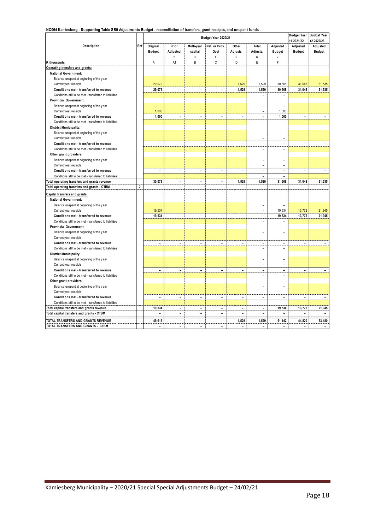**NC064 Kamiesberg - Supporting Table SB9 Adjustments Budget - reconciliation of transfers, grant receipts, and unspent funds -** 

|                                                                                             |                |                |                          |                          |                          |                          |                          |                              | <b>Budget Year</b>       | <b>Budget Year</b>       |
|---------------------------------------------------------------------------------------------|----------------|----------------|--------------------------|--------------------------|--------------------------|--------------------------|--------------------------|------------------------------|--------------------------|--------------------------|
|                                                                                             |                |                |                          |                          | Budget Year 2020/21      |                          |                          |                              | +1 2021/22               | +2 2022/23               |
| Description                                                                                 | Ref            | Original       | Prior                    | Multi-year               | Nat. or Prov.            | Other                    | Total                    | Adjusted                     | Adjusted                 | Adjusted                 |
|                                                                                             |                | <b>Budget</b>  | Adjusted                 | capital                  | Govt                     | Adjusts.                 | Adjusts.                 | <b>Budget</b>                | <b>Budget</b>            | <b>Budget</b>            |
|                                                                                             |                |                | $\overline{2}$           | 3                        | $\overline{4}$           | 5                        | 6                        | $\overline{7}$               |                          |                          |
| R thousands                                                                                 |                | А              | A1                       | B                        | C                        | D                        | E                        | F                            |                          |                          |
| Operating transfers and grants:                                                             |                |                |                          |                          |                          |                          |                          |                              |                          |                          |
| <b>National Government:</b>                                                                 |                |                |                          |                          |                          |                          |                          |                              |                          |                          |
| Balance unspent at beginning of the year                                                    |                |                |                          |                          |                          |                          |                          |                              |                          |                          |
| Current y ear receipts                                                                      |                | 29,079         |                          |                          |                          | 1,529                    | 1,529                    | 30,608                       | 31,048                   | 31,535                   |
| Conditions met - transferred to revenue                                                     |                | 29,079         | $\overline{\phantom{a}}$ | $\overline{\phantom{0}}$ | L.                       | 1,529                    | 1,529                    | 30,608                       | 31,048                   | 31,535                   |
| Conditions still to be met - transferred to liabilities                                     |                |                |                          |                          |                          |                          | ۰                        | ۰                            |                          |                          |
| <b>Provincial Government:</b>                                                               |                |                |                          |                          |                          |                          |                          |                              |                          |                          |
| Balance unspent at beginning of the year                                                    |                |                |                          |                          |                          |                          | ۰                        | ۰                            |                          |                          |
| Current y ear receipts                                                                      |                | 1,000          |                          |                          |                          |                          | $\overline{a}$           | 1,000                        |                          |                          |
| Conditions met - transferred to revenue                                                     |                | 1,000          | $\overline{\phantom{a}}$ | $\overline{\phantom{a}}$ | $\overline{\phantom{a}}$ | $\overline{\phantom{a}}$ | $\overline{\phantom{a}}$ | 1,000                        | $\overline{\phantom{0}}$ | $\sim$                   |
| Conditions still to be met - transferred to liabilities                                     |                |                |                          |                          |                          |                          |                          |                              |                          |                          |
| <b>District Municipality:</b>                                                               |                |                |                          |                          |                          |                          |                          |                              |                          |                          |
| Balance unspent at beginning of the year                                                    |                |                |                          |                          |                          |                          | L.                       |                              |                          |                          |
| Current y ear receipts                                                                      |                |                |                          |                          |                          |                          | $\overline{a}$           | $\overline{\phantom{a}}$     |                          |                          |
| Conditions met - transferred to revenue                                                     |                | $\overline{a}$ | $\overline{\phantom{a}}$ | ÷,                       | $\overline{a}$           | $\overline{a}$           | $\overline{\phantom{a}}$ | $\overline{\phantom{a}}$     | $\overline{a}$           | $\overline{\phantom{a}}$ |
| Conditions still to be met - transferred to liabilities                                     |                |                |                          |                          |                          |                          | $\overline{\phantom{a}}$ | $\overline{a}$               |                          |                          |
| Other grant providers:                                                                      |                |                |                          |                          |                          |                          |                          |                              |                          |                          |
| Balance unspent at beginning of the year                                                    |                |                |                          |                          |                          |                          | $\overline{a}$           | ۰                            |                          |                          |
| Current y ear receipts                                                                      |                |                |                          |                          |                          |                          | ۳                        | ۳                            |                          |                          |
| Conditions met - transferred to revenue                                                     |                | L.             | $\overline{\phantom{a}}$ | $\overline{\phantom{a}}$ | $\overline{a}$           | $\overline{a}$           | $\overline{a}$           | $\overline{\phantom{a}}$     | L.                       | $\sim$                   |
|                                                                                             |                |                |                          |                          |                          |                          | ÷.                       | ÷.                           |                          |                          |
| Conditions still to be met - transferred to liabilities                                     |                | 30,079         | $\overline{a}$           | $\overline{a}$           | $\overline{a}$           | 1,529                    | 1,529                    | 31,608                       | 31,048                   |                          |
| Total operating transfers and grants revenue<br>Total operating transfers and grants - CTBM | $\overline{c}$ | $\overline{a}$ | $\overline{a}$           | $\overline{a}$           | L.                       | $\overline{a}$           | $\overline{a}$           | $\overline{\phantom{a}}$     | $\overline{a}$           | 31,535<br>$\overline{a}$ |
|                                                                                             |                |                |                          |                          |                          |                          |                          |                              |                          |                          |
| Capital transfers and grants:                                                               |                |                |                          |                          |                          |                          |                          |                              |                          |                          |
| <b>National Government:</b>                                                                 |                |                |                          |                          |                          |                          |                          |                              |                          |                          |
| Balance unspent at beginning of the year                                                    |                |                |                          |                          |                          |                          |                          |                              |                          |                          |
| Current y ear receipts                                                                      |                | 19,534         |                          |                          |                          |                          |                          | 19,534                       | 13,772                   | 21,945                   |
| Conditions met - transferred to revenue                                                     |                | 19,534         | $\overline{\phantom{a}}$ | $\overline{\phantom{a}}$ | L.                       | $\overline{\phantom{0}}$ | $\overline{\phantom{a}}$ | 19,534                       | 13,772                   | 21,945                   |
| Conditions still to be met - transferred to liabilities                                     |                |                |                          |                          |                          |                          | L.                       | L.                           |                          |                          |
| <b>Provincial Government:</b>                                                               |                |                |                          |                          |                          |                          |                          |                              |                          |                          |
| Balance unspent at beginning of the year                                                    |                |                |                          |                          |                          |                          | L.                       |                              |                          |                          |
| Current y ear receipts                                                                      |                |                |                          |                          |                          |                          | $\overline{\phantom{a}}$ | ۰                            |                          |                          |
| Conditions met - transferred to revenue                                                     |                | -              | $\overline{a}$           | $\overline{a}$           | ÷,                       | $\overline{a}$           | ÷                        | $\qquad \qquad \blacksquare$ | $\overline{a}$           |                          |
| Conditions still to be met - transferred to liabilities                                     |                |                |                          |                          |                          |                          | $\overline{\phantom{a}}$ | ۳                            |                          |                          |
| <b>District Municipality:</b>                                                               |                |                |                          |                          |                          |                          |                          |                              |                          |                          |
| Balance unspent at beginning of the year                                                    |                |                |                          |                          |                          |                          | ۰                        | ۰                            |                          |                          |
| Current y ear receipts                                                                      |                |                |                          |                          |                          |                          | $\overline{a}$           | L,                           |                          |                          |
| Conditions met - transferred to revenue                                                     |                | $\overline{a}$ | $\overline{\phantom{a}}$ | $\overline{a}$           | $\overline{a}$           | $\overline{a}$           | $\overline{\phantom{a}}$ | $\overline{a}$               | $\overline{a}$           | $\blacksquare$           |
| Conditions still to be met - transferred to liabilities                                     |                |                |                          |                          |                          |                          | L.                       | L,                           |                          |                          |
| Other grant providers:                                                                      |                |                |                          |                          |                          |                          |                          |                              |                          |                          |
| Balance unspent at beginning of the year                                                    |                |                |                          |                          |                          |                          | L.                       | ۰                            |                          |                          |
| Current y ear receipts                                                                      |                |                |                          |                          |                          |                          | ÷                        | L,                           |                          |                          |
| Conditions met - transferred to revenue                                                     |                | L.             | $\overline{\phantom{a}}$ | $\overline{\phantom{a}}$ | ÷,                       | $\overline{a}$           | $\overline{\phantom{a}}$ | $\overline{\phantom{a}}$     | $\overline{a}$           | $\sim$                   |
| Conditions still to be met - transferred to liabilities                                     |                |                |                          |                          |                          |                          | $\overline{\phantom{m}}$ | $\overline{a}$               |                          |                          |
| Total capital transfers and grants revenue                                                  |                | 19,534         | ÷.                       | $\overline{a}$           | ۳                        | ٠                        | $\overline{a}$           | 19,534                       | 13,772                   | 21,945                   |
| Total capital transfers and grants - CTBM                                                   |                | $\overline{a}$ | $\overline{a}$           | $\overline{a}$           | $\overline{a}$           | L.                       | L,                       |                              | $\overline{a}$           |                          |
| TOTAL TRANSFERS AND GRANTS REVENUE                                                          |                | 49,613         | $\overline{\phantom{a}}$ | $\blacksquare$           | $\overline{\phantom{0}}$ | 1,529                    | 1,529                    | 51,142                       | 44,820                   | 53,480                   |
| TOTAL TRANSFERS AND GRANTS - CTBM                                                           |                |                |                          |                          | $\overline{a}$           |                          |                          |                              |                          |                          |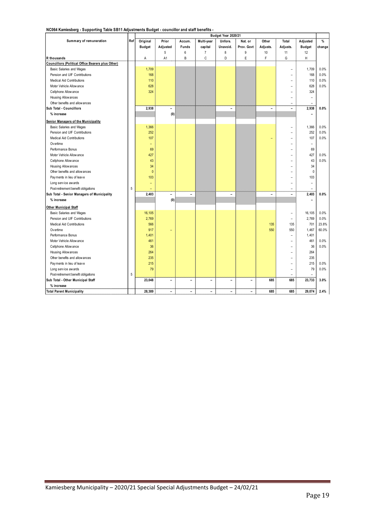| NC064 Kamiesberg - Supporting Table SB11 Adjustments Budget - councillor and staff benefits - |  |
|-----------------------------------------------------------------------------------------------|--|
|-----------------------------------------------------------------------------------------------|--|

|                                                   |     |               |                          |                          |                          | Budget Year 2020/21      |            |                |                          |               |        |
|---------------------------------------------------|-----|---------------|--------------------------|--------------------------|--------------------------|--------------------------|------------|----------------|--------------------------|---------------|--------|
| Summary of remuneration                           | Ref | Original      | Prior                    | Accum.                   | Multi-year               | Unfore.                  | Nat. or    | Other          | Total                    | Adjusted      | %      |
|                                                   |     | <b>Budget</b> | Adjusted                 | Funds                    | capital                  | Unavoid.                 | Prov. Govt | Adjusts.       | Adjusts.                 | <b>Budget</b> | change |
|                                                   |     |               | 5                        | 6                        | $\overline{7}$           | 8                        | 9          | 10             | 11                       | 12            |        |
| R thousands                                       |     | А             | A1                       | B                        | C                        | D                        | E          | F              | G                        | H             |        |
| Councillors (Political Office Bearers plus Other) |     |               |                          |                          |                          |                          |            |                |                          |               |        |
| Basic Salaries and Wages                          |     | 1,709         |                          |                          |                          |                          |            |                | ۰                        | 1,709         | 0.0%   |
| Pension and UIF Contributions                     |     | 168           |                          |                          |                          |                          |            |                |                          | 168           | 0.0%   |
| <b>Medical Aid Contributions</b>                  |     | 110           |                          |                          |                          |                          |            |                |                          | 110           | 0.0%   |
| Motor Vehicle Allow ance                          |     | 628           |                          |                          |                          |                          |            |                | ۰                        | 628           | 0.0%   |
| Cellphone Allow ance                              |     | 324           |                          |                          |                          |                          |            |                |                          | 324           |        |
| Housing Allow ances                               |     |               |                          |                          |                          |                          |            |                |                          | ۳             |        |
| Other benefits and allow ances                    |     |               |                          |                          |                          |                          |            |                |                          |               |        |
| Sub Total - Councillors                           |     | 2,938         | $\overline{\phantom{0}}$ |                          |                          | Ĭ.                       |            | $\blacksquare$ | $\overline{\phantom{0}}$ | 2,938         | 0.0%   |
| % increase                                        |     |               | (0)                      |                          |                          |                          |            |                |                          | ۳             |        |
| Senior Managers of the Municipality               |     |               |                          |                          |                          |                          |            |                |                          |               |        |
| <b>Basic Salaries and Wages</b>                   |     | 1,366         |                          |                          |                          |                          |            |                |                          | 1,366         | 0.0%   |
| Pension and UIF Contributions                     |     | 252           |                          |                          |                          |                          |            |                |                          | 252           | 0.0%   |
| <b>Medical Aid Contributions</b>                  |     | 107           |                          |                          |                          |                          |            |                |                          | 107           | 0.0%   |
| Overtime                                          |     | ۳             |                          |                          |                          |                          |            |                |                          | ۳             |        |
| Performance Bonus                                 |     | 69            |                          |                          |                          |                          |            |                |                          | 69            |        |
| Motor Vehicle Allow ance                          |     | 427           |                          |                          |                          |                          |            |                |                          | 427           | 0.0%   |
| Cellphone Allow ance                              |     | 43            |                          |                          |                          |                          |            |                |                          | 43            | 0.0%   |
| Housing Allow ances                               |     | 34            |                          |                          |                          |                          |            |                |                          | 34            |        |
| Other benefits and allow ances                    |     | $\pmb{0}$     |                          |                          |                          |                          |            |                |                          | $\mathbf 0$   |        |
| Payments in lieu of leave                         |     | 103           |                          |                          |                          |                          |            |                |                          | 103           |        |
| Long service awards                               |     | ۳             |                          |                          |                          |                          |            |                |                          | ۳             |        |
| Post-retirement benefit obligations               | 5   |               |                          |                          |                          |                          |            |                | $\overline{a}$           | ۰             |        |
| Sub Total - Senior Managers of Municipality       |     | 2.403         | $\overline{a}$           | ÷                        |                          | $\overline{\phantom{a}}$ |            | $\overline{a}$ | $\overline{\phantom{a}}$ | 2,403         | 0.0%   |
| % increase                                        |     |               | (0)                      |                          |                          |                          |            |                |                          |               |        |
| <b>Other Municipal Staff</b>                      |     |               |                          |                          |                          |                          |            |                |                          |               |        |
| Basic Salaries and Wages                          |     | 16,105        |                          |                          |                          |                          |            |                | ۳                        | 16,105        | 0.0%   |
| Pension and UIF Contributions                     |     | 2,769         |                          |                          |                          |                          |            |                | ۰                        | 2,769         | 0.0%   |
| <b>Medical Aid Contributions</b>                  |     | 566           |                          |                          |                          |                          |            | 135            | 135                      | 701           | 23.8%  |
| Ov ertime                                         |     | 917           |                          |                          |                          |                          |            | 550            | 550                      | 1,467         | 60.0%  |
| Performance Bonus                                 |     | 1,401         |                          |                          |                          |                          |            |                | ۳                        | 1,401         |        |
| Motor Vehicle Allow ance                          |     | 461           |                          |                          |                          |                          |            |                |                          | 461           | 0.0%   |
| Cellphone Allow ance                              |     | 36            |                          |                          |                          |                          |            |                | ۰                        | 36            | 0.0%   |
| Housing Allow ances                               |     | 264           |                          |                          |                          |                          |            |                |                          | 264           |        |
| Other benefits and allow ances                    |     | 235           |                          |                          |                          |                          |            |                | ۰                        | 235           |        |
| Payments in lieu of leave                         |     | 215           |                          |                          |                          |                          |            |                |                          | 215           | 0.0%   |
| Long service awards                               |     | 79            |                          |                          |                          |                          |            |                |                          | 79            | 0.0%   |
| Post-retirement benefit obligations               | 5   |               |                          |                          |                          |                          |            |                | $\overline{a}$           |               |        |
| Sub Total - Other Municipal Staff                 |     | 23,048        | $\overline{a}$           | -                        | $\overline{a}$           | ÷                        | ÷          | 685            | 685                      | 23,733        | 3.0%   |
|                                                   |     |               |                          |                          |                          |                          |            |                |                          |               |        |
| % increase                                        |     |               | ۰                        |                          |                          | $\sim$                   | $\equiv$   | 685            | 685                      | 29,074        |        |
| <b>Total Parent Municipality</b>                  |     | 28,389        |                          | $\overline{\phantom{0}}$ | $\overline{\phantom{a}}$ |                          |            |                |                          |               | 2.4%   |